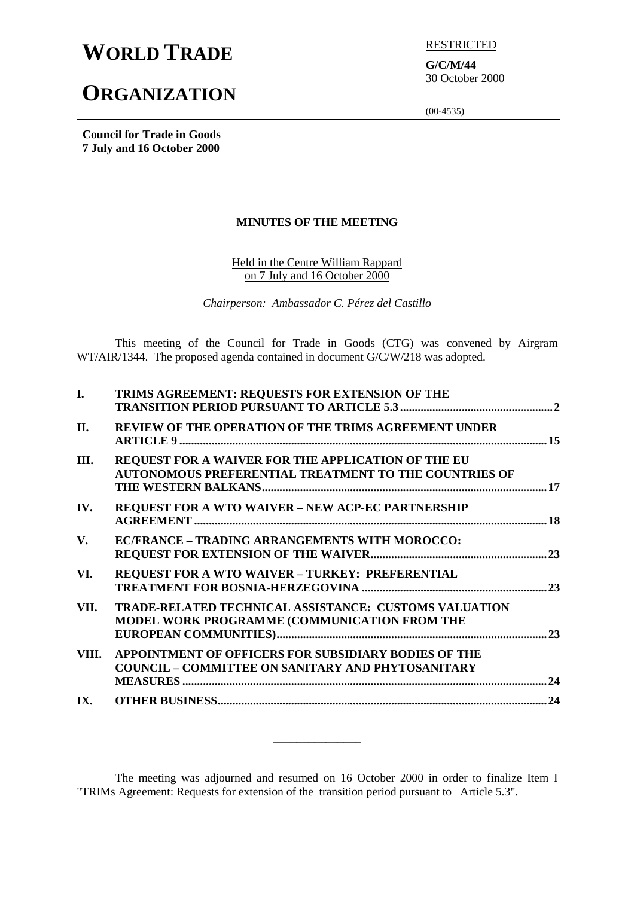# **WORLD TRADE ELECTRICTED**

# **ORGANIZATION**

**G/C/M/44** 30 October 2000

(00-4535)

**Council for Trade in Goods 7 July and 16 October 2000**

## **MINUTES OF THE MEETING**

Held in the Centre William Rappard on 7 July and 16 October 2000

*Chairperson: Ambassador C. Pérez del Castillo*

This meeting of the Council for Trade in Goods (CTG) was convened by Airgram WT/AIR/1344. The proposed agenda contained in document G/C/W/218 was adopted.

| $\mathbf{I}$ . | TRIMS AGREEMENT: REQUESTS FOR EXTENSION OF THE                                                                     |     |
|----------------|--------------------------------------------------------------------------------------------------------------------|-----|
| П.             | <b>REVIEW OF THE OPERATION OF THE TRIMS AGREEMENT UNDER</b>                                                        |     |
| III.           | REQUEST FOR A WAIVER FOR THE APPLICATION OF THE EU<br><b>AUTONOMOUS PREFERENTIAL TREATMENT TO THE COUNTRIES OF</b> |     |
| IV.            | <b>REQUEST FOR A WTO WAIVER - NEW ACP-EC PARTNERSHIP</b>                                                           |     |
| V.             | EC/FRANCE - TRADING ARRANGEMENTS WITH MOROCCO:                                                                     |     |
| VI.            | REQUEST FOR A WTO WAIVER - TURKEY: PREFERENTIAL                                                                    |     |
| VII.           | <b>TRADE-RELATED TECHNICAL ASSISTANCE: CUSTOMS VALUATION</b><br>MODEL WORK PROGRAMME (COMMUNICATION FROM THE       |     |
| VIII.          | APPOINTMENT OF OFFICERS FOR SUBSIDIARY BODIES OF THE<br><b>COUNCIL - COMMITTEE ON SANITARY AND PHYTOSANITARY</b>   | .24 |
| IX.            |                                                                                                                    |     |

The meeting was adjourned and resumed on 16 October 2000 in order to finalize Item I "TRIMs Agreement: Requests for extension of the transition period pursuant to Article 5.3".

**\_\_\_\_\_\_\_\_\_\_\_\_\_\_\_**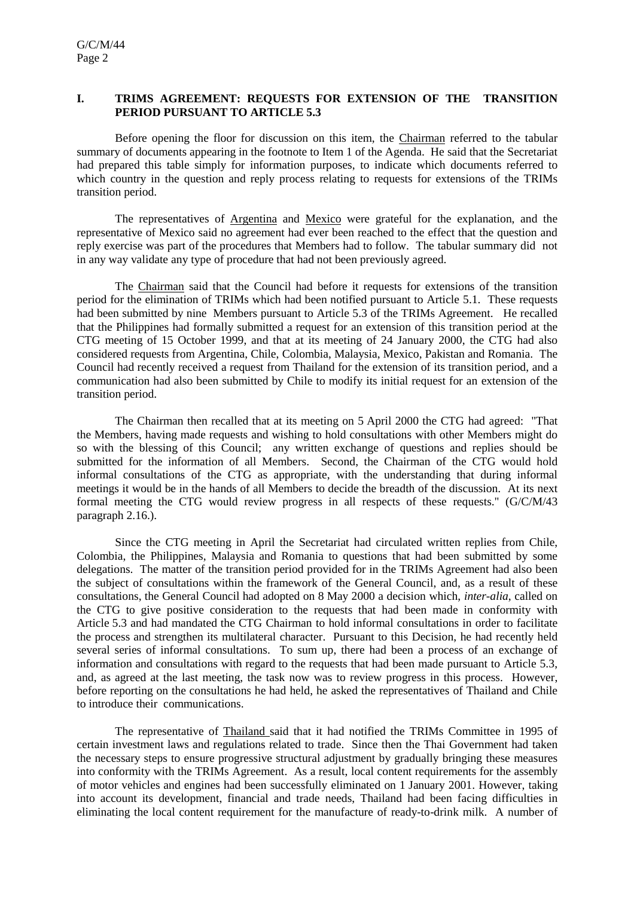#### **I. TRIMS AGREEMENT: REQUESTS FOR EXTENSION OF THE TRANSITION PERIOD PURSUANT TO ARTICLE 5.3**

Before opening the floor for discussion on this item, the Chairman referred to the tabular summary of documents appearing in the footnote to Item 1 of the Agenda. He said that the Secretariat had prepared this table simply for information purposes, to indicate which documents referred to which country in the question and reply process relating to requests for extensions of the TRIMs transition period.

The representatives of Argentina and Mexico were grateful for the explanation, and the representative of Mexico said no agreement had ever been reached to the effect that the question and reply exercise was part of the procedures that Members had to follow. The tabular summary did not in any way validate any type of procedure that had not been previously agreed.

The Chairman said that the Council had before it requests for extensions of the transition period for the elimination of TRIMs which had been notified pursuant to Article 5.1. These requests had been submitted by nine Members pursuant to Article 5.3 of the TRIMs Agreement. He recalled that the Philippines had formally submitted a request for an extension of this transition period at the CTG meeting of 15 October 1999, and that at its meeting of 24 January 2000, the CTG had also considered requests from Argentina, Chile, Colombia, Malaysia, Mexico, Pakistan and Romania. The Council had recently received a request from Thailand for the extension of its transition period, and a communication had also been submitted by Chile to modify its initial request for an extension of the transition period.

The Chairman then recalled that at its meeting on 5 April 2000 the CTG had agreed: "That the Members, having made requests and wishing to hold consultations with other Members might do so with the blessing of this Council; any written exchange of questions and replies should be submitted for the information of all Members. Second, the Chairman of the CTG would hold informal consultations of the CTG as appropriate, with the understanding that during informal meetings it would be in the hands of all Members to decide the breadth of the discussion. At its next formal meeting the CTG would review progress in all respects of these requests." (G/C/M/43 paragraph 2.16.).

Since the CTG meeting in April the Secretariat had circulated written replies from Chile, Colombia, the Philippines, Malaysia and Romania to questions that had been submitted by some delegations. The matter of the transition period provided for in the TRIMs Agreement had also been the subject of consultations within the framework of the General Council, and, as a result of these consultations, the General Council had adopted on 8 May 2000 a decision which, *inter-alia*, called on the CTG to give positive consideration to the requests that had been made in conformity with Article 5.3 and had mandated the CTG Chairman to hold informal consultations in order to facilitate the process and strengthen its multilateral character. Pursuant to this Decision, he had recently held several series of informal consultations. To sum up, there had been a process of an exchange of information and consultations with regard to the requests that had been made pursuant to Article 5.3, and, as agreed at the last meeting, the task now was to review progress in this process. However, before reporting on the consultations he had held, he asked the representatives of Thailand and Chile to introduce their communications.

The representative of Thailand said that it had notified the TRIMs Committee in 1995 of certain investment laws and regulations related to trade. Since then the Thai Government had taken the necessary steps to ensure progressive structural adjustment by gradually bringing these measures into conformity with the TRIMs Agreement. As a result, local content requirements for the assembly of motor vehicles and engines had been successfully eliminated on 1 January 2001. However, taking into account its development, financial and trade needs, Thailand had been facing difficulties in eliminating the local content requirement for the manufacture of ready-to-drink milk. A number of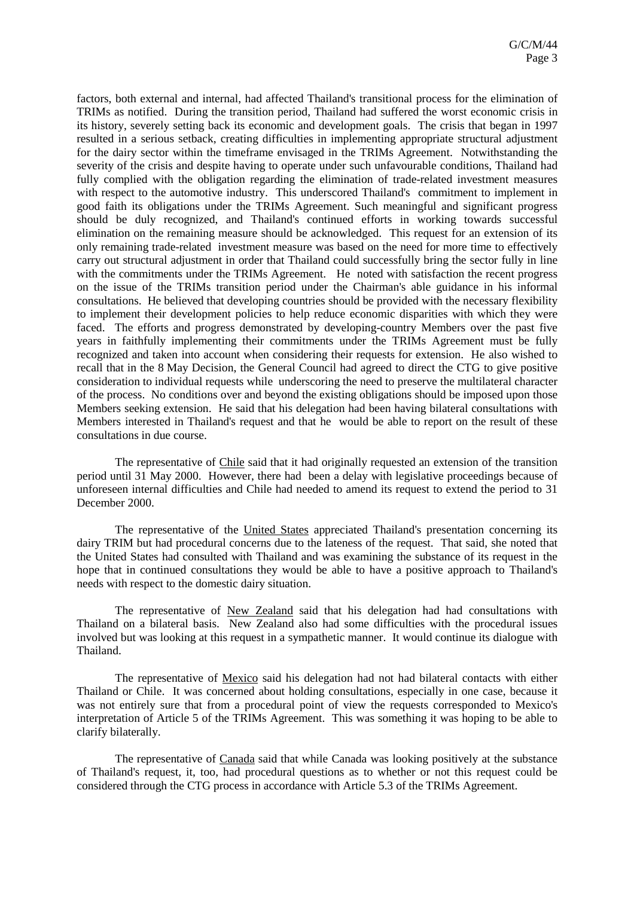factors, both external and internal, had affected Thailand's transitional process for the elimination of TRIMs as notified. During the transition period, Thailand had suffered the worst economic crisis in its history, severely setting back its economic and development goals. The crisis that began in 1997 resulted in a serious setback, creating difficulties in implementing appropriate structural adjustment for the dairy sector within the timeframe envisaged in the TRIMs Agreement. Notwithstanding the severity of the crisis and despite having to operate under such unfavourable conditions, Thailand had fully complied with the obligation regarding the elimination of trade-related investment measures with respect to the automotive industry. This underscored Thailand's commitment to implement in good faith its obligations under the TRIMs Agreement. Such meaningful and significant progress should be duly recognized, and Thailand's continued efforts in working towards successful elimination on the remaining measure should be acknowledged. This request for an extension of its only remaining trade-related investment measure was based on the need for more time to effectively carry out structural adjustment in order that Thailand could successfully bring the sector fully in line with the commitments under the TRIMs Agreement. He noted with satisfaction the recent progress on the issue of the TRIMs transition period under the Chairman's able guidance in his informal consultations. He believed that developing countries should be provided with the necessary flexibility to implement their development policies to help reduce economic disparities with which they were faced. The efforts and progress demonstrated by developing-country Members over the past five years in faithfully implementing their commitments under the TRIMs Agreement must be fully recognized and taken into account when considering their requests for extension. He also wished to recall that in the 8 May Decision, the General Council had agreed to direct the CTG to give positive consideration to individual requests while underscoring the need to preserve the multilateral character of the process. No conditions over and beyond the existing obligations should be imposed upon those Members seeking extension. He said that his delegation had been having bilateral consultations with Members interested in Thailand's request and that he would be able to report on the result of these consultations in due course.

The representative of Chile said that it had originally requested an extension of the transition period until 31 May 2000. However, there had been a delay with legislative proceedings because of unforeseen internal difficulties and Chile had needed to amend its request to extend the period to 31 December 2000.

The representative of the United States appreciated Thailand's presentation concerning its dairy TRIM but had procedural concerns due to the lateness of the request. That said, she noted that the United States had consulted with Thailand and was examining the substance of its request in the hope that in continued consultations they would be able to have a positive approach to Thailand's needs with respect to the domestic dairy situation.

The representative of New Zealand said that his delegation had had consultations with Thailand on a bilateral basis. New Zealand also had some difficulties with the procedural issues involved but was looking at this request in a sympathetic manner. It would continue its dialogue with Thailand.

The representative of Mexico said his delegation had not had bilateral contacts with either Thailand or Chile. It was concerned about holding consultations, especially in one case, because it was not entirely sure that from a procedural point of view the requests corresponded to Mexico's interpretation of Article 5 of the TRIMs Agreement. This was something it was hoping to be able to clarify bilaterally.

The representative of Canada said that while Canada was looking positively at the substance of Thailand's request, it, too, had procedural questions as to whether or not this request could be considered through the CTG process in accordance with Article 5.3 of the TRIMs Agreement.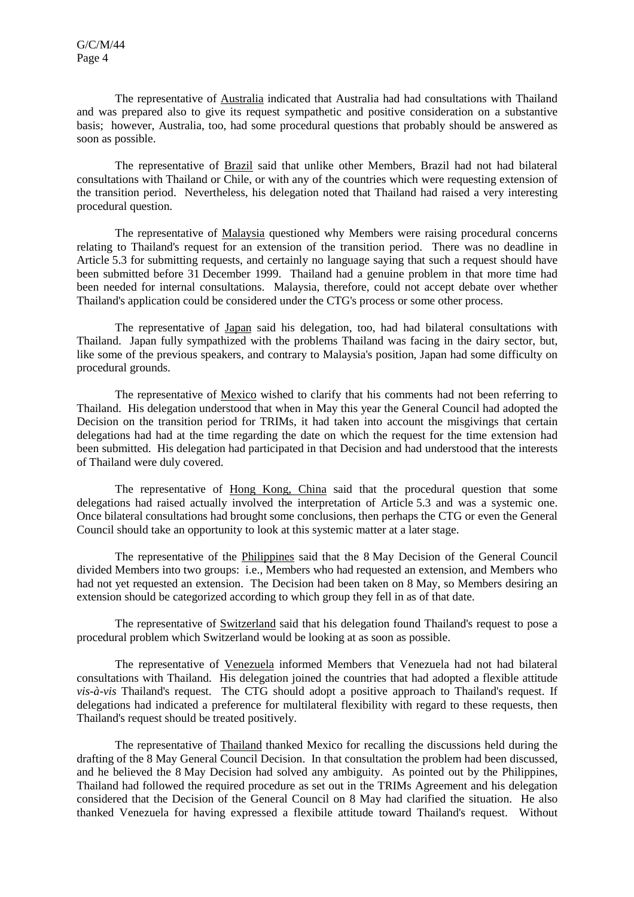The representative of Australia indicated that Australia had had consultations with Thailand and was prepared also to give its request sympathetic and positive consideration on a substantive basis; however, Australia, too, had some procedural questions that probably should be answered as soon as possible.

The representative of Brazil said that unlike other Members, Brazil had not had bilateral consultations with Thailand or Chile, or with any of the countries which were requesting extension of the transition period. Nevertheless, his delegation noted that Thailand had raised a very interesting procedural question.

The representative of Malaysia questioned why Members were raising procedural concerns relating to Thailand's request for an extension of the transition period. There was no deadline in Article 5.3 for submitting requests, and certainly no language saying that such a request should have been submitted before 31 December 1999. Thailand had a genuine problem in that more time had been needed for internal consultations. Malaysia, therefore, could not accept debate over whether Thailand's application could be considered under the CTG's process or some other process.

The representative of Japan said his delegation, too, had had bilateral consultations with Thailand. Japan fully sympathized with the problems Thailand was facing in the dairy sector, but, like some of the previous speakers, and contrary to Malaysia's position, Japan had some difficulty on procedural grounds.

The representative of Mexico wished to clarify that his comments had not been referring to Thailand. His delegation understood that when in May this year the General Council had adopted the Decision on the transition period for TRIMs, it had taken into account the misgivings that certain delegations had had at the time regarding the date on which the request for the time extension had been submitted. His delegation had participated in that Decision and had understood that the interests of Thailand were duly covered.

The representative of Hong Kong, China said that the procedural question that some delegations had raised actually involved the interpretation of Article 5.3 and was a systemic one. Once bilateral consultations had brought some conclusions, then perhaps the CTG or even the General Council should take an opportunity to look at this systemic matter at a later stage.

The representative of the Philippines said that the 8 May Decision of the General Council divided Members into two groups: i.e., Members who had requested an extension, and Members who had not yet requested an extension. The Decision had been taken on 8 May, so Members desiring an extension should be categorized according to which group they fell in as of that date.

The representative of Switzerland said that his delegation found Thailand's request to pose a procedural problem which Switzerland would be looking at as soon as possible.

The representative of Venezuela informed Members that Venezuela had not had bilateral consultations with Thailand. His delegation joined the countries that had adopted a flexible attitude *vis-à-vis* Thailand's request. The CTG should adopt a positive approach to Thailand's request. If delegations had indicated a preference for multilateral flexibility with regard to these requests, then Thailand's request should be treated positively.

The representative of Thailand thanked Mexico for recalling the discussions held during the drafting of the 8 May General Council Decision. In that consultation the problem had been discussed, and he believed the 8 May Decision had solved any ambiguity. As pointed out by the Philippines, Thailand had followed the required procedure as set out in the TRIMs Agreement and his delegation considered that the Decision of the General Council on 8 May had clarified the situation. He also thanked Venezuela for having expressed a flexibile attitude toward Thailand's request. Without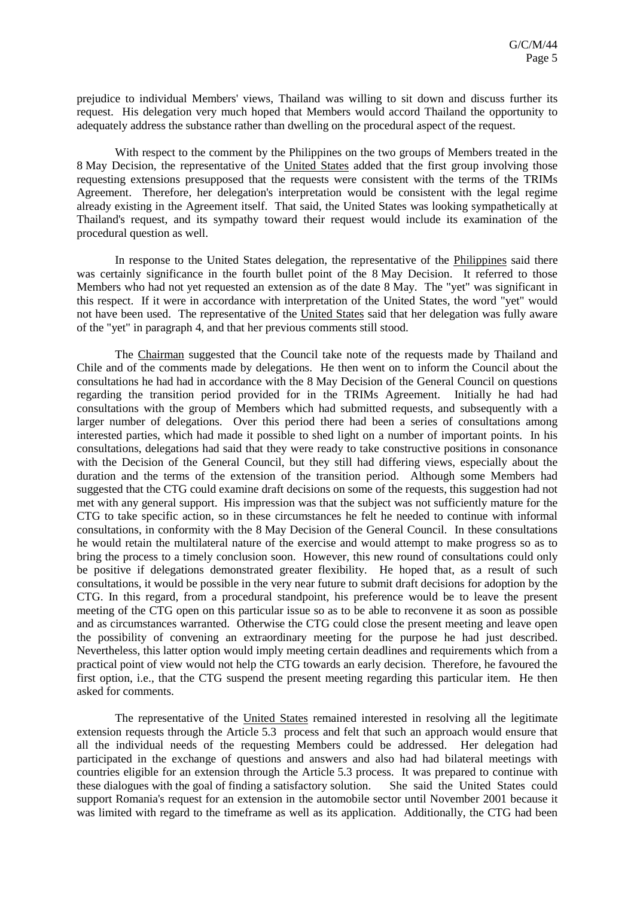prejudice to individual Members' views, Thailand was willing to sit down and discuss further its request. His delegation very much hoped that Members would accord Thailand the opportunity to adequately address the substance rather than dwelling on the procedural aspect of the request.

With respect to the comment by the Philippines on the two groups of Members treated in the 8 May Decision, the representative of the United States added that the first group involving those requesting extensions presupposed that the requests were consistent with the terms of the TRIMs Agreement. Therefore, her delegation's interpretation would be consistent with the legal regime already existing in the Agreement itself. That said, the United States was looking sympathetically at Thailand's request, and its sympathy toward their request would include its examination of the procedural question as well.

In response to the United States delegation, the representative of the Philippines said there was certainly significance in the fourth bullet point of the 8 May Decision. It referred to those Members who had not yet requested an extension as of the date 8 May. The "yet" was significant in this respect. If it were in accordance with interpretation of the United States, the word "yet" would not have been used. The representative of the United States said that her delegation was fully aware of the "yet" in paragraph 4, and that her previous comments still stood.

The Chairman suggested that the Council take note of the requests made by Thailand and Chile and of the comments made by delegations. He then went on to inform the Council about the consultations he had had in accordance with the 8 May Decision of the General Council on questions regarding the transition period provided for in the TRIMs Agreement. Initially he had had consultations with the group of Members which had submitted requests, and subsequently with a larger number of delegations. Over this period there had been a series of consultations among interested parties, which had made it possible to shed light on a number of important points. In his consultations, delegations had said that they were ready to take constructive positions in consonance with the Decision of the General Council, but they still had differing views, especially about the duration and the terms of the extension of the transition period. Although some Members had suggested that the CTG could examine draft decisions on some of the requests, this suggestion had not met with any general support. His impression was that the subject was not sufficiently mature for the CTG to take specific action, so in these circumstances he felt he needed to continue with informal consultations, in conformity with the 8 May Decision of the General Council. In these consultations he would retain the multilateral nature of the exercise and would attempt to make progress so as to bring the process to a timely conclusion soon. However, this new round of consultations could only be positive if delegations demonstrated greater flexibility. He hoped that, as a result of such consultations, it would be possible in the very near future to submit draft decisions for adoption by the CTG. In this regard, from a procedural standpoint, his preference would be to leave the present meeting of the CTG open on this particular issue so as to be able to reconvene it as soon as possible and as circumstances warranted. Otherwise the CTG could close the present meeting and leave open the possibility of convening an extraordinary meeting for the purpose he had just described. Nevertheless, this latter option would imply meeting certain deadlines and requirements which from a practical point of view would not help the CTG towards an early decision. Therefore, he favoured the first option, i.e., that the CTG suspend the present meeting regarding this particular item. He then asked for comments.

The representative of the United States remained interested in resolving all the legitimate extension requests through the Article 5.3 process and felt that such an approach would ensure that all the individual needs of the requesting Members could be addressed. Her delegation had participated in the exchange of questions and answers and also had had bilateral meetings with countries eligible for an extension through the Article 5.3 process. It was prepared to continue with these dialogues with the goal of finding a satisfactory solution. She said the United States could support Romania's request for an extension in the automobile sector until November 2001 because it was limited with regard to the timeframe as well as its application. Additionally, the CTG had been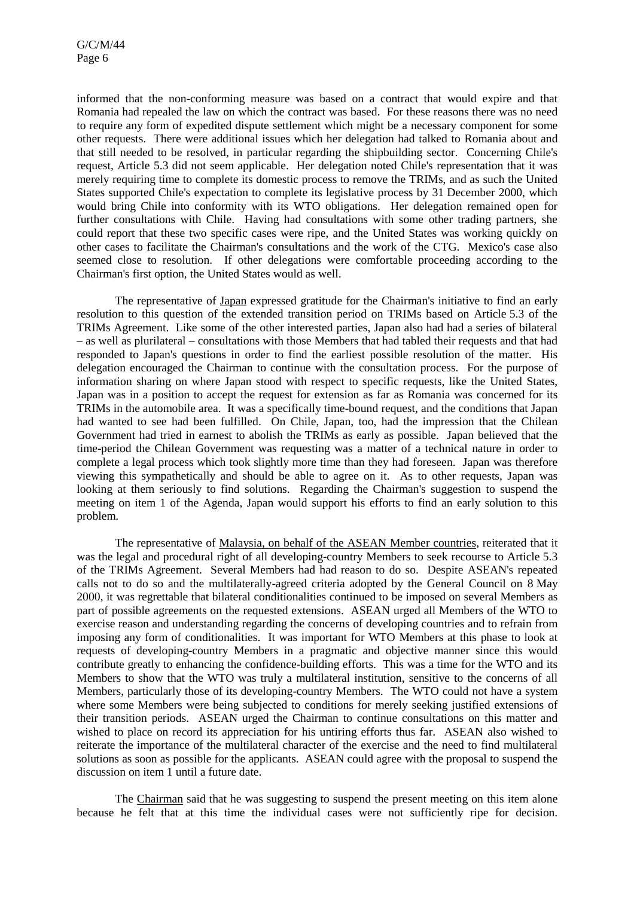informed that the non-conforming measure was based on a contract that would expire and that Romania had repealed the law on which the contract was based. For these reasons there was no need to require any form of expedited dispute settlement which might be a necessary component for some other requests. There were additional issues which her delegation had talked to Romania about and that still needed to be resolved, in particular regarding the shipbuilding sector. Concerning Chile's request, Article 5.3 did not seem applicable. Her delegation noted Chile's representation that it was merely requiring time to complete its domestic process to remove the TRIMs, and as such the United States supported Chile's expectation to complete its legislative process by 31 December 2000, which would bring Chile into conformity with its WTO obligations. Her delegation remained open for further consultations with Chile. Having had consultations with some other trading partners, she could report that these two specific cases were ripe, and the United States was working quickly on other cases to facilitate the Chairman's consultations and the work of the CTG. Mexico's case also seemed close to resolution. If other delegations were comfortable proceeding according to the Chairman's first option, the United States would as well.

The representative of Japan expressed gratitude for the Chairman's initiative to find an early resolution to this question of the extended transition period on TRIMs based on Article 5.3 of the TRIMs Agreement. Like some of the other interested parties, Japan also had had a series of bilateral – as well as plurilateral – consultations with those Members that had tabled their requests and that had responded to Japan's questions in order to find the earliest possible resolution of the matter. His delegation encouraged the Chairman to continue with the consultation process. For the purpose of information sharing on where Japan stood with respect to specific requests, like the United States, Japan was in a position to accept the request for extension as far as Romania was concerned for its TRIMs in the automobile area. It was a specifically time-bound request, and the conditions that Japan had wanted to see had been fulfilled. On Chile, Japan, too, had the impression that the Chilean Government had tried in earnest to abolish the TRIMs as early as possible. Japan believed that the time-period the Chilean Government was requesting was a matter of a technical nature in order to complete a legal process which took slightly more time than they had foreseen. Japan was therefore viewing this sympathetically and should be able to agree on it. As to other requests, Japan was looking at them seriously to find solutions. Regarding the Chairman's suggestion to suspend the meeting on item 1 of the Agenda, Japan would support his efforts to find an early solution to this problem.

The representative of Malaysia, on behalf of the ASEAN Member countries, reiterated that it was the legal and procedural right of all developing-country Members to seek recourse to Article 5.3 of the TRIMs Agreement. Several Members had had reason to do so. Despite ASEAN's repeated calls not to do so and the multilaterally-agreed criteria adopted by the General Council on 8 May 2000, it was regrettable that bilateral conditionalities continued to be imposed on several Members as part of possible agreements on the requested extensions. ASEAN urged all Members of the WTO to exercise reason and understanding regarding the concerns of developing countries and to refrain from imposing any form of conditionalities. It was important for WTO Members at this phase to look at requests of developing-country Members in a pragmatic and objective manner since this would contribute greatly to enhancing the confidence-building efforts. This was a time for the WTO and its Members to show that the WTO was truly a multilateral institution, sensitive to the concerns of all Members, particularly those of its developing-country Members. The WTO could not have a system where some Members were being subjected to conditions for merely seeking justified extensions of their transition periods. ASEAN urged the Chairman to continue consultations on this matter and wished to place on record its appreciation for his untiring efforts thus far. ASEAN also wished to reiterate the importance of the multilateral character of the exercise and the need to find multilateral solutions as soon as possible for the applicants. ASEAN could agree with the proposal to suspend the discussion on item 1 until a future date.

The Chairman said that he was suggesting to suspend the present meeting on this item alone because he felt that at this time the individual cases were not sufficiently ripe for decision.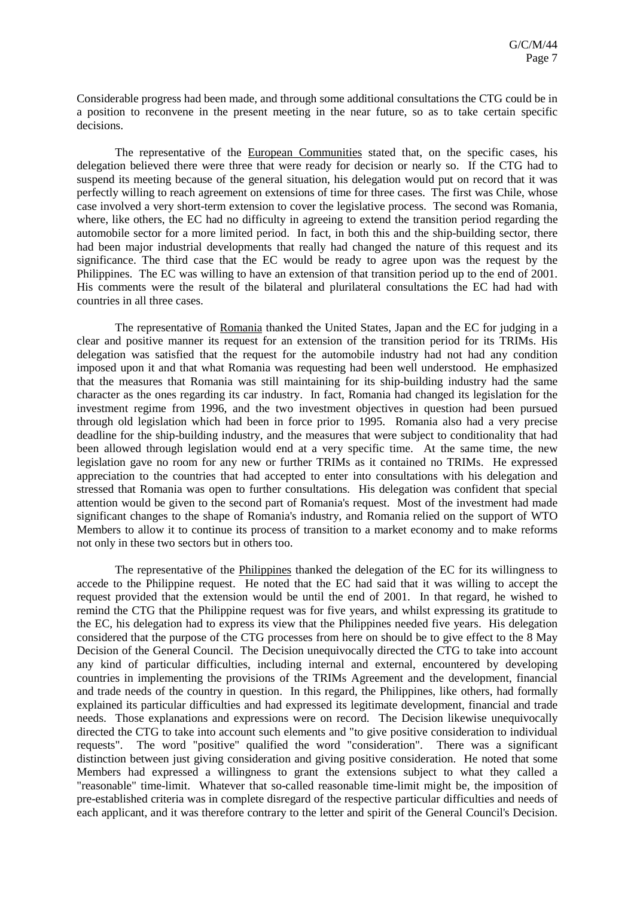Considerable progress had been made, and through some additional consultations the CTG could be in a position to reconvene in the present meeting in the near future, so as to take certain specific decisions.

The representative of the European Communities stated that, on the specific cases, his delegation believed there were three that were ready for decision or nearly so. If the CTG had to suspend its meeting because of the general situation, his delegation would put on record that it was perfectly willing to reach agreement on extensions of time for three cases. The first was Chile, whose case involved a very short-term extension to cover the legislative process. The second was Romania, where, like others, the EC had no difficulty in agreeing to extend the transition period regarding the automobile sector for a more limited period. In fact, in both this and the ship-building sector, there had been major industrial developments that really had changed the nature of this request and its significance. The third case that the EC would be ready to agree upon was the request by the Philippines. The EC was willing to have an extension of that transition period up to the end of 2001. His comments were the result of the bilateral and plurilateral consultations the EC had had with countries in all three cases.

The representative of Romania thanked the United States, Japan and the EC for judging in a clear and positive manner its request for an extension of the transition period for its TRIMs. His delegation was satisfied that the request for the automobile industry had not had any condition imposed upon it and that what Romania was requesting had been well understood. He emphasized that the measures that Romania was still maintaining for its ship-building industry had the same character as the ones regarding its car industry. In fact, Romania had changed its legislation for the investment regime from 1996, and the two investment objectives in question had been pursued through old legislation which had been in force prior to 1995. Romania also had a very precise deadline for the ship-building industry, and the measures that were subject to conditionality that had been allowed through legislation would end at a very specific time. At the same time, the new legislation gave no room for any new or further TRIMs as it contained no TRIMs. He expressed appreciation to the countries that had accepted to enter into consultations with his delegation and stressed that Romania was open to further consultations. His delegation was confident that special attention would be given to the second part of Romania's request. Most of the investment had made significant changes to the shape of Romania's industry, and Romania relied on the support of WTO Members to allow it to continue its process of transition to a market economy and to make reforms not only in these two sectors but in others too.

The representative of the Philippines thanked the delegation of the EC for its willingness to accede to the Philippine request. He noted that the EC had said that it was willing to accept the request provided that the extension would be until the end of 2001. In that regard, he wished to remind the CTG that the Philippine request was for five years, and whilst expressing its gratitude to the EC, his delegation had to express its view that the Philippines needed five years. His delegation considered that the purpose of the CTG processes from here on should be to give effect to the 8 May Decision of the General Council. The Decision unequivocally directed the CTG to take into account any kind of particular difficulties, including internal and external, encountered by developing countries in implementing the provisions of the TRIMs Agreement and the development, financial and trade needs of the country in question. In this regard, the Philippines, like others, had formally explained its particular difficulties and had expressed its legitimate development, financial and trade needs. Those explanations and expressions were on record. The Decision likewise unequivocally directed the CTG to take into account such elements and "to give positive consideration to individual requests". The word "positive" qualified the word "consideration". There was a significant distinction between just giving consideration and giving positive consideration. He noted that some Members had expressed a willingness to grant the extensions subject to what they called a "reasonable" time-limit. Whatever that so-called reasonable time-limit might be, the imposition of pre-established criteria was in complete disregard of the respective particular difficulties and needs of each applicant, and it was therefore contrary to the letter and spirit of the General Council's Decision.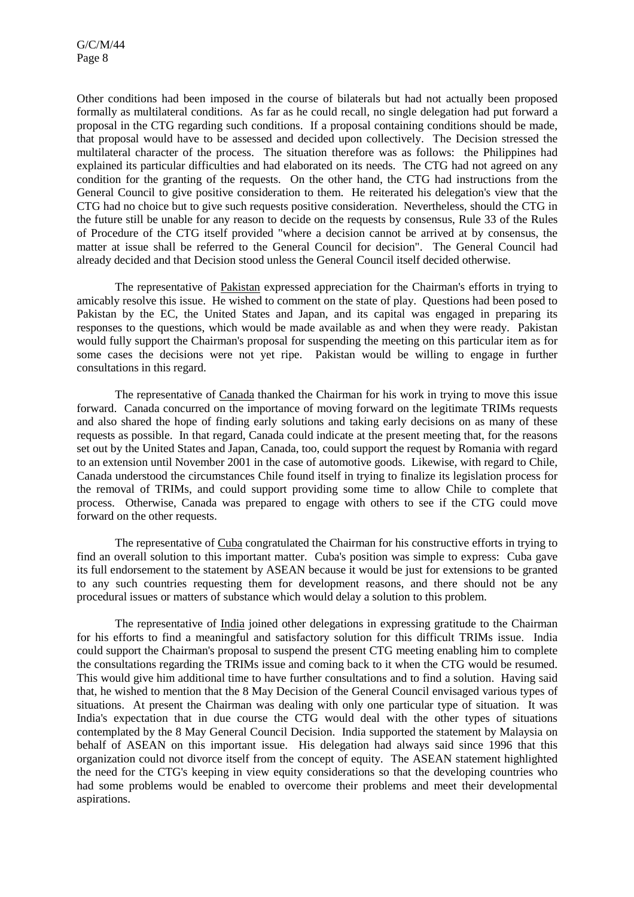Other conditions had been imposed in the course of bilaterals but had not actually been proposed formally as multilateral conditions. As far as he could recall, no single delegation had put forward a proposal in the CTG regarding such conditions. If a proposal containing conditions should be made, that proposal would have to be assessed and decided upon collectively. The Decision stressed the multilateral character of the process. The situation therefore was as follows: the Philippines had explained its particular difficulties and had elaborated on its needs. The CTG had not agreed on any condition for the granting of the requests. On the other hand, the CTG had instructions from the General Council to give positive consideration to them. He reiterated his delegation's view that the CTG had no choice but to give such requests positive consideration. Nevertheless, should the CTG in the future still be unable for any reason to decide on the requests by consensus, Rule 33 of the Rules of Procedure of the CTG itself provided "where a decision cannot be arrived at by consensus, the matter at issue shall be referred to the General Council for decision". The General Council had already decided and that Decision stood unless the General Council itself decided otherwise.

The representative of Pakistan expressed appreciation for the Chairman's efforts in trying to amicably resolve this issue. He wished to comment on the state of play. Questions had been posed to Pakistan by the EC, the United States and Japan, and its capital was engaged in preparing its responses to the questions, which would be made available as and when they were ready. Pakistan would fully support the Chairman's proposal for suspending the meeting on this particular item as for some cases the decisions were not yet ripe. Pakistan would be willing to engage in further consultations in this regard.

The representative of Canada thanked the Chairman for his work in trying to move this issue forward. Canada concurred on the importance of moving forward on the legitimate TRIMs requests and also shared the hope of finding early solutions and taking early decisions on as many of these requests as possible. In that regard, Canada could indicate at the present meeting that, for the reasons set out by the United States and Japan, Canada, too, could support the request by Romania with regard to an extension until November 2001 in the case of automotive goods. Likewise, with regard to Chile, Canada understood the circumstances Chile found itself in trying to finalize its legislation process for the removal of TRIMs, and could support providing some time to allow Chile to complete that process. Otherwise, Canada was prepared to engage with others to see if the CTG could move forward on the other requests.

The representative of Cuba congratulated the Chairman for his constructive efforts in trying to find an overall solution to this important matter. Cuba's position was simple to express: Cuba gave its full endorsement to the statement by ASEAN because it would be just for extensions to be granted to any such countries requesting them for development reasons, and there should not be any procedural issues or matters of substance which would delay a solution to this problem.

The representative of India joined other delegations in expressing gratitude to the Chairman for his efforts to find a meaningful and satisfactory solution for this difficult TRIMs issue. India could support the Chairman's proposal to suspend the present CTG meeting enabling him to complete the consultations regarding the TRIMs issue and coming back to it when the CTG would be resumed. This would give him additional time to have further consultations and to find a solution. Having said that, he wished to mention that the 8 May Decision of the General Council envisaged various types of situations. At present the Chairman was dealing with only one particular type of situation. It was India's expectation that in due course the CTG would deal with the other types of situations contemplated by the 8 May General Council Decision. India supported the statement by Malaysia on behalf of ASEAN on this important issue. His delegation had always said since 1996 that this organization could not divorce itself from the concept of equity. The ASEAN statement highlighted the need for the CTG's keeping in view equity considerations so that the developing countries who had some problems would be enabled to overcome their problems and meet their developmental aspirations.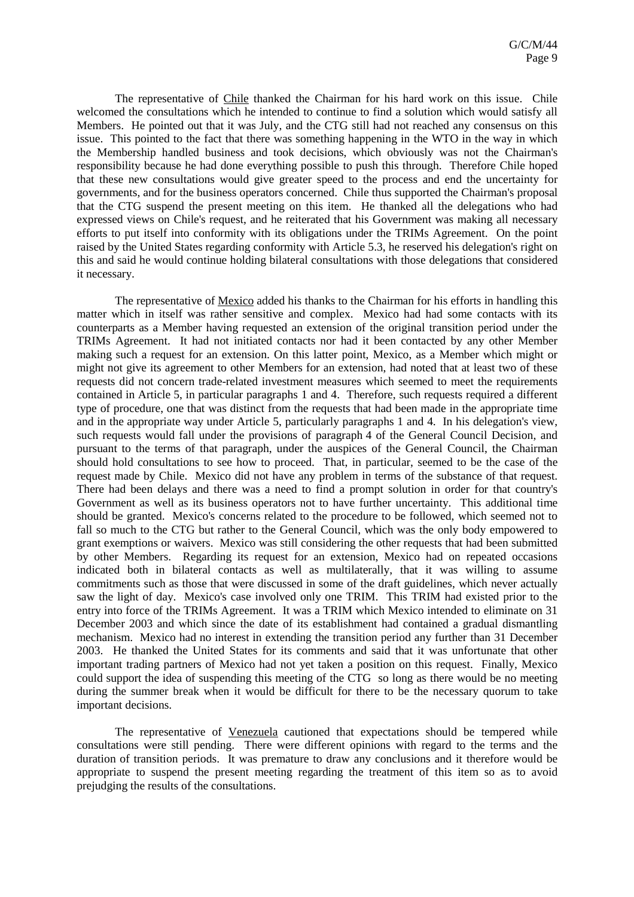The representative of Chile thanked the Chairman for his hard work on this issue. Chile welcomed the consultations which he intended to continue to find a solution which would satisfy all Members. He pointed out that it was July, and the CTG still had not reached any consensus on this issue. This pointed to the fact that there was something happening in the WTO in the way in which the Membership handled business and took decisions, which obviously was not the Chairman's responsibility because he had done everything possible to push this through. Therefore Chile hoped that these new consultations would give greater speed to the process and end the uncertainty for governments, and for the business operators concerned. Chile thus supported the Chairman's proposal that the CTG suspend the present meeting on this item. He thanked all the delegations who had expressed views on Chile's request, and he reiterated that his Government was making all necessary efforts to put itself into conformity with its obligations under the TRIMs Agreement. On the point raised by the United States regarding conformity with Article 5.3, he reserved his delegation's right on this and said he would continue holding bilateral consultations with those delegations that considered it necessary.

The representative of Mexico added his thanks to the Chairman for his efforts in handling this matter which in itself was rather sensitive and complex. Mexico had had some contacts with its counterparts as a Member having requested an extension of the original transition period under the TRIMs Agreement. It had not initiated contacts nor had it been contacted by any other Member making such a request for an extension. On this latter point, Mexico, as a Member which might or might not give its agreement to other Members for an extension, had noted that at least two of these requests did not concern trade-related investment measures which seemed to meet the requirements contained in Article 5, in particular paragraphs 1 and 4. Therefore, such requests required a different type of procedure, one that was distinct from the requests that had been made in the appropriate time and in the appropriate way under Article 5, particularly paragraphs 1 and 4. In his delegation's view, such requests would fall under the provisions of paragraph 4 of the General Council Decision, and pursuant to the terms of that paragraph, under the auspices of the General Council, the Chairman should hold consultations to see how to proceed. That, in particular, seemed to be the case of the request made by Chile. Mexico did not have any problem in terms of the substance of that request. There had been delays and there was a need to find a prompt solution in order for that country's Government as well as its business operators not to have further uncertainty. This additional time should be granted. Mexico's concerns related to the procedure to be followed, which seemed not to fall so much to the CTG but rather to the General Council, which was the only body empowered to grant exemptions or waivers. Mexico was still considering the other requests that had been submitted by other Members. Regarding its request for an extension, Mexico had on repeated occasions indicated both in bilateral contacts as well as multilaterally, that it was willing to assume commitments such as those that were discussed in some of the draft guidelines, which never actually saw the light of day. Mexico's case involved only one TRIM. This TRIM had existed prior to the entry into force of the TRIMs Agreement. It was a TRIM which Mexico intended to eliminate on 31 December 2003 and which since the date of its establishment had contained a gradual dismantling mechanism. Mexico had no interest in extending the transition period any further than 31 December 2003. He thanked the United States for its comments and said that it was unfortunate that other important trading partners of Mexico had not yet taken a position on this request. Finally, Mexico could support the idea of suspending this meeting of the CTG so long as there would be no meeting during the summer break when it would be difficult for there to be the necessary quorum to take important decisions.

The representative of Venezuela cautioned that expectations should be tempered while consultations were still pending. There were different opinions with regard to the terms and the duration of transition periods. It was premature to draw any conclusions and it therefore would be appropriate to suspend the present meeting regarding the treatment of this item so as to avoid prejudging the results of the consultations.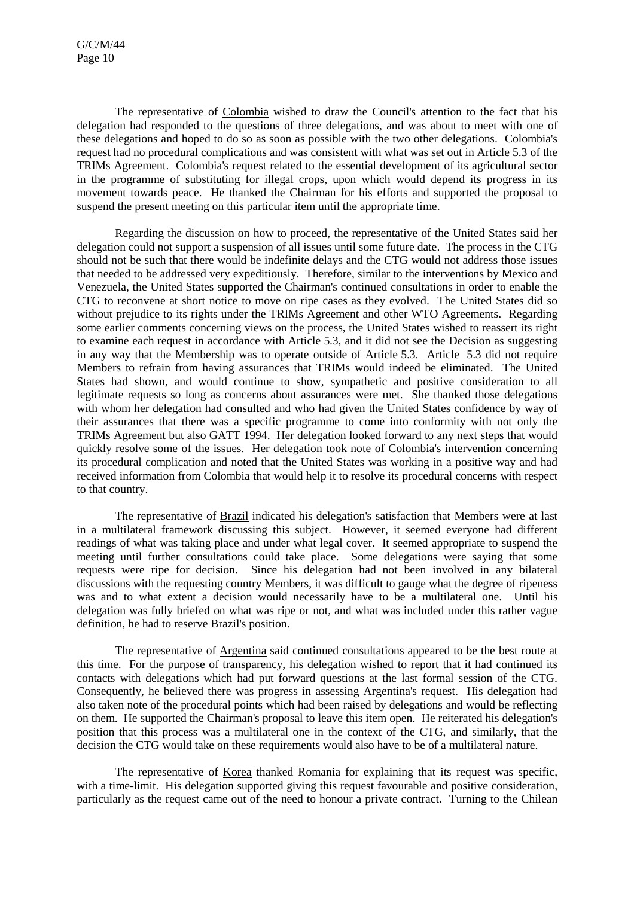The representative of Colombia wished to draw the Council's attention to the fact that his delegation had responded to the questions of three delegations, and was about to meet with one of these delegations and hoped to do so as soon as possible with the two other delegations. Colombia's request had no procedural complications and was consistent with what was set out in Article 5.3 of the TRIMs Agreement. Colombia's request related to the essential development of its agricultural sector in the programme of substituting for illegal crops, upon which would depend its progress in its movement towards peace. He thanked the Chairman for his efforts and supported the proposal to suspend the present meeting on this particular item until the appropriate time.

Regarding the discussion on how to proceed, the representative of the United States said her delegation could not support a suspension of all issues until some future date. The process in the CTG should not be such that there would be indefinite delays and the CTG would not address those issues that needed to be addressed very expeditiously. Therefore, similar to the interventions by Mexico and Venezuela, the United States supported the Chairman's continued consultations in order to enable the CTG to reconvene at short notice to move on ripe cases as they evolved. The United States did so without prejudice to its rights under the TRIMs Agreement and other WTO Agreements. Regarding some earlier comments concerning views on the process, the United States wished to reassert its right to examine each request in accordance with Article 5.3, and it did not see the Decision as suggesting in any way that the Membership was to operate outside of Article 5.3. Article 5.3 did not require Members to refrain from having assurances that TRIMs would indeed be eliminated. The United States had shown, and would continue to show, sympathetic and positive consideration to all legitimate requests so long as concerns about assurances were met. She thanked those delegations with whom her delegation had consulted and who had given the United States confidence by way of their assurances that there was a specific programme to come into conformity with not only the TRIMs Agreement but also GATT 1994. Her delegation looked forward to any next steps that would quickly resolve some of the issues. Her delegation took note of Colombia's intervention concerning its procedural complication and noted that the United States was working in a positive way and had received information from Colombia that would help it to resolve its procedural concerns with respect to that country.

The representative of Brazil indicated his delegation's satisfaction that Members were at last in a multilateral framework discussing this subject. However, it seemed everyone had different readings of what was taking place and under what legal cover. It seemed appropriate to suspend the meeting until further consultations could take place. Some delegations were saying that some requests were ripe for decision. Since his delegation had not been involved in any bilateral discussions with the requesting country Members, it was difficult to gauge what the degree of ripeness was and to what extent a decision would necessarily have to be a multilateral one. Until his delegation was fully briefed on what was ripe or not, and what was included under this rather vague definition, he had to reserve Brazil's position.

The representative of Argentina said continued consultations appeared to be the best route at this time. For the purpose of transparency, his delegation wished to report that it had continued its contacts with delegations which had put forward questions at the last formal session of the CTG. Consequently, he believed there was progress in assessing Argentina's request. His delegation had also taken note of the procedural points which had been raised by delegations and would be reflecting on them. He supported the Chairman's proposal to leave this item open. He reiterated his delegation's position that this process was a multilateral one in the context of the CTG, and similarly, that the decision the CTG would take on these requirements would also have to be of a multilateral nature.

The representative of Korea thanked Romania for explaining that its request was specific, with a time-limit. His delegation supported giving this request favourable and positive consideration, particularly as the request came out of the need to honour a private contract. Turning to the Chilean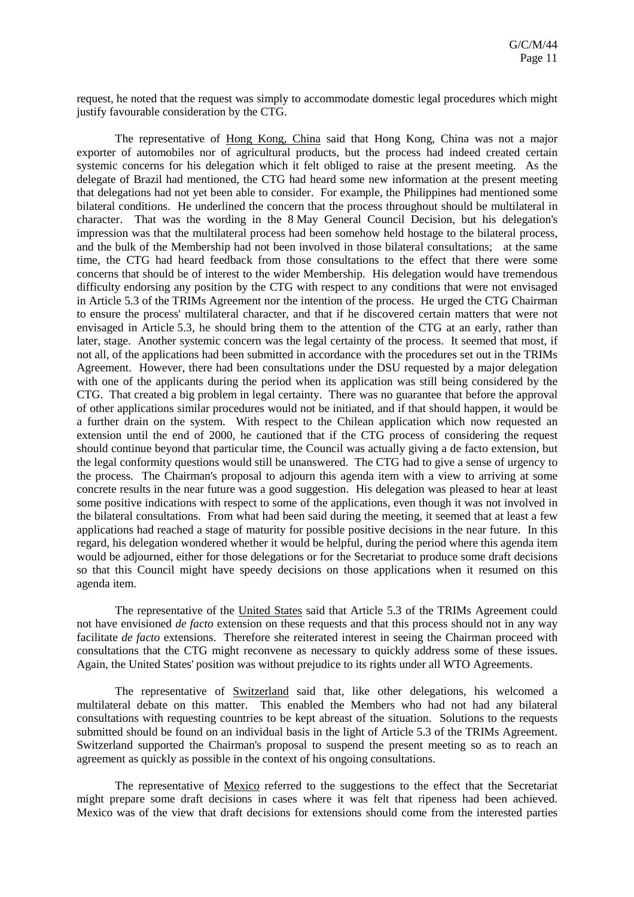request, he noted that the request was simply to accommodate domestic legal procedures which might justify favourable consideration by the CTG.

The representative of Hong Kong, China said that Hong Kong, China was not a major exporter of automobiles nor of agricultural products, but the process had indeed created certain systemic concerns for his delegation which it felt obliged to raise at the present meeting. As the delegate of Brazil had mentioned, the CTG had heard some new information at the present meeting that delegations had not yet been able to consider. For example, the Philippines had mentioned some bilateral conditions. He underlined the concern that the process throughout should be multilateral in character. That was the wording in the 8 May General Council Decision, but his delegation's impression was that the multilateral process had been somehow held hostage to the bilateral process, and the bulk of the Membership had not been involved in those bilateral consultations; at the same time, the CTG had heard feedback from those consultations to the effect that there were some concerns that should be of interest to the wider Membership. His delegation would have tremendous difficulty endorsing any position by the CTG with respect to any conditions that were not envisaged in Article 5.3 of the TRIMs Agreement nor the intention of the process. He urged the CTG Chairman to ensure the process' multilateral character, and that if he discovered certain matters that were not envisaged in Article 5.3, he should bring them to the attention of the CTG at an early, rather than later, stage. Another systemic concern was the legal certainty of the process. It seemed that most, if not all, of the applications had been submitted in accordance with the procedures set out in the TRIMs Agreement. However, there had been consultations under the DSU requested by a major delegation with one of the applicants during the period when its application was still being considered by the CTG. That created a big problem in legal certainty. There was no guarantee that before the approval of other applications similar procedures would not be initiated, and if that should happen, it would be a further drain on the system. With respect to the Chilean application which now requested an extension until the end of 2000, he cautioned that if the CTG process of considering the request should continue beyond that particular time, the Council was actually giving a de facto extension, but the legal conformity questions would still be unanswered. The CTG had to give a sense of urgency to the process. The Chairman's proposal to adjourn this agenda item with a view to arriving at some concrete results in the near future was a good suggestion. His delegation was pleased to hear at least some positive indications with respect to some of the applications, even though it was not involved in the bilateral consultations. From what had been said during the meeting, it seemed that at least a few applications had reached a stage of maturity for possible positive decisions in the near future. In this regard, his delegation wondered whether it would be helpful, during the period where this agenda item would be adjourned, either for those delegations or for the Secretariat to produce some draft decisions so that this Council might have speedy decisions on those applications when it resumed on this agenda item.

The representative of the United States said that Article 5.3 of the TRIMs Agreement could not have envisioned *de facto* extension on these requests and that this process should not in any way facilitate *de facto* extensions. Therefore she reiterated interest in seeing the Chairman proceed with consultations that the CTG might reconvene as necessary to quickly address some of these issues. Again, the United States' position was without prejudice to its rights under all WTO Agreements.

The representative of Switzerland said that, like other delegations, his welcomed a multilateral debate on this matter. This enabled the Members who had not had any bilateral consultations with requesting countries to be kept abreast of the situation. Solutions to the requests submitted should be found on an individual basis in the light of Article 5.3 of the TRIMs Agreement. Switzerland supported the Chairman's proposal to suspend the present meeting so as to reach an agreement as quickly as possible in the context of his ongoing consultations.

The representative of Mexico referred to the suggestions to the effect that the Secretariat might prepare some draft decisions in cases where it was felt that ripeness had been achieved. Mexico was of the view that draft decisions for extensions should come from the interested parties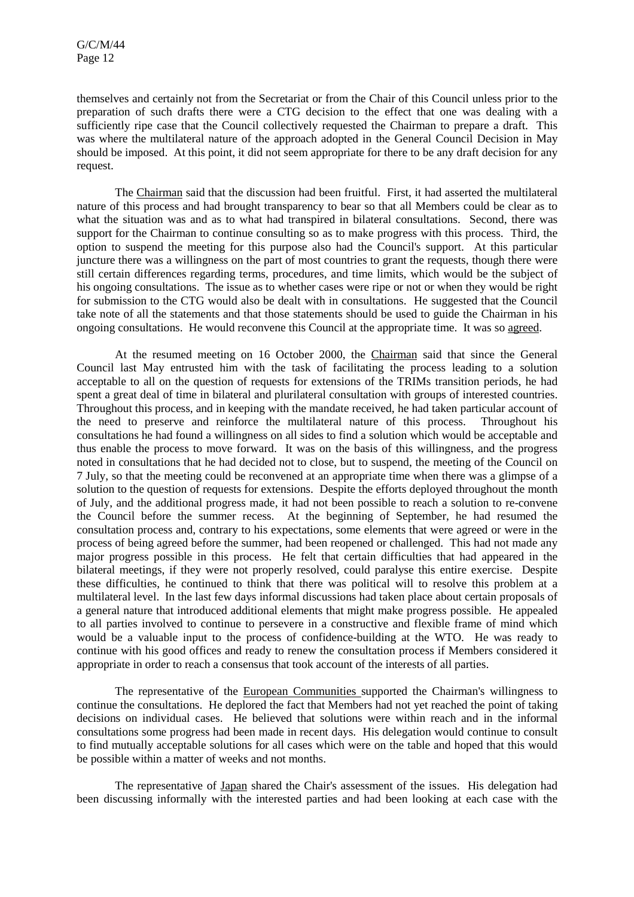themselves and certainly not from the Secretariat or from the Chair of this Council unless prior to the preparation of such drafts there were a CTG decision to the effect that one was dealing with a sufficiently ripe case that the Council collectively requested the Chairman to prepare a draft. This was where the multilateral nature of the approach adopted in the General Council Decision in May should be imposed. At this point, it did not seem appropriate for there to be any draft decision for any request.

The Chairman said that the discussion had been fruitful. First, it had asserted the multilateral nature of this process and had brought transparency to bear so that all Members could be clear as to what the situation was and as to what had transpired in bilateral consultations. Second, there was support for the Chairman to continue consulting so as to make progress with this process. Third, the option to suspend the meeting for this purpose also had the Council's support. At this particular juncture there was a willingness on the part of most countries to grant the requests, though there were still certain differences regarding terms, procedures, and time limits, which would be the subject of his ongoing consultations. The issue as to whether cases were ripe or not or when they would be right for submission to the CTG would also be dealt with in consultations. He suggested that the Council take note of all the statements and that those statements should be used to guide the Chairman in his ongoing consultations. He would reconvene this Council at the appropriate time. It was so agreed.

At the resumed meeting on 16 October 2000, the Chairman said that since the General Council last May entrusted him with the task of facilitating the process leading to a solution acceptable to all on the question of requests for extensions of the TRIMs transition periods, he had spent a great deal of time in bilateral and plurilateral consultation with groups of interested countries. Throughout this process, and in keeping with the mandate received, he had taken particular account of the need to preserve and reinforce the multilateral nature of this process. Throughout his consultations he had found a willingness on all sides to find a solution which would be acceptable and thus enable the process to move forward. It was on the basis of this willingness, and the progress noted in consultations that he had decided not to close, but to suspend, the meeting of the Council on 7 July, so that the meeting could be reconvened at an appropriate time when there was a glimpse of a solution to the question of requests for extensions. Despite the efforts deployed throughout the month of July, and the additional progress made, it had not been possible to reach a solution to re-convene the Council before the summer recess. At the beginning of September, he had resumed the consultation process and, contrary to his expectations, some elements that were agreed or were in the process of being agreed before the summer, had been reopened or challenged. This had not made any major progress possible in this process. He felt that certain difficulties that had appeared in the bilateral meetings, if they were not properly resolved, could paralyse this entire exercise. Despite these difficulties, he continued to think that there was political will to resolve this problem at a multilateral level. In the last few days informal discussions had taken place about certain proposals of a general nature that introduced additional elements that might make progress possible. He appealed to all parties involved to continue to persevere in a constructive and flexible frame of mind which would be a valuable input to the process of confidence-building at the WTO. He was ready to continue with his good offices and ready to renew the consultation process if Members considered it appropriate in order to reach a consensus that took account of the interests of all parties.

The representative of the European Communities supported the Chairman's willingness to continue the consultations. He deplored the fact that Members had not yet reached the point of taking decisions on individual cases. He believed that solutions were within reach and in the informal consultations some progress had been made in recent days. His delegation would continue to consult to find mutually acceptable solutions for all cases which were on the table and hoped that this would be possible within a matter of weeks and not months.

The representative of Japan shared the Chair's assessment of the issues. His delegation had been discussing informally with the interested parties and had been looking at each case with the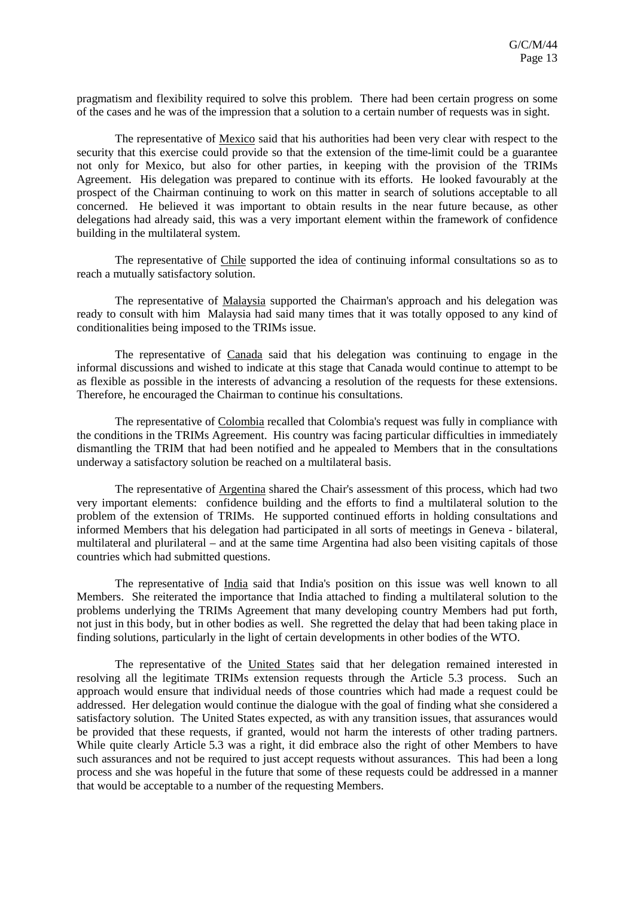pragmatism and flexibility required to solve this problem. There had been certain progress on some of the cases and he was of the impression that a solution to a certain number of requests was in sight.

The representative of Mexico said that his authorities had been very clear with respect to the security that this exercise could provide so that the extension of the time-limit could be a guarantee not only for Mexico, but also for other parties, in keeping with the provision of the TRIMs Agreement. His delegation was prepared to continue with its efforts. He looked favourably at the prospect of the Chairman continuing to work on this matter in search of solutions acceptable to all concerned. He believed it was important to obtain results in the near future because, as other delegations had already said, this was a very important element within the framework of confidence building in the multilateral system.

The representative of Chile supported the idea of continuing informal consultations so as to reach a mutually satisfactory solution.

The representative of Malaysia supported the Chairman's approach and his delegation was ready to consult with him Malaysia had said many times that it was totally opposed to any kind of conditionalities being imposed to the TRIMs issue.

The representative of Canada said that his delegation was continuing to engage in the informal discussions and wished to indicate at this stage that Canada would continue to attempt to be as flexible as possible in the interests of advancing a resolution of the requests for these extensions. Therefore, he encouraged the Chairman to continue his consultations.

The representative of Colombia recalled that Colombia's request was fully in compliance with the conditions in the TRIMs Agreement. His country was facing particular difficulties in immediately dismantling the TRIM that had been notified and he appealed to Members that in the consultations underway a satisfactory solution be reached on a multilateral basis.

The representative of Argentina shared the Chair's assessment of this process, which had two very important elements: confidence building and the efforts to find a multilateral solution to the problem of the extension of TRIMs. He supported continued efforts in holding consultations and informed Members that his delegation had participated in all sorts of meetings in Geneva - bilateral, multilateral and plurilateral – and at the same time Argentina had also been visiting capitals of those countries which had submitted questions.

The representative of India said that India's position on this issue was well known to all Members. She reiterated the importance that India attached to finding a multilateral solution to the problems underlying the TRIMs Agreement that many developing country Members had put forth, not just in this body, but in other bodies as well. She regretted the delay that had been taking place in finding solutions, particularly in the light of certain developments in other bodies of the WTO.

The representative of the United States said that her delegation remained interested in resolving all the legitimate TRIMs extension requests through the Article 5.3 process. Such an approach would ensure that individual needs of those countries which had made a request could be addressed. Her delegation would continue the dialogue with the goal of finding what she considered a satisfactory solution. The United States expected, as with any transition issues, that assurances would be provided that these requests, if granted, would not harm the interests of other trading partners. While quite clearly Article 5.3 was a right, it did embrace also the right of other Members to have such assurances and not be required to just accept requests without assurances. This had been a long process and she was hopeful in the future that some of these requests could be addressed in a manner that would be acceptable to a number of the requesting Members.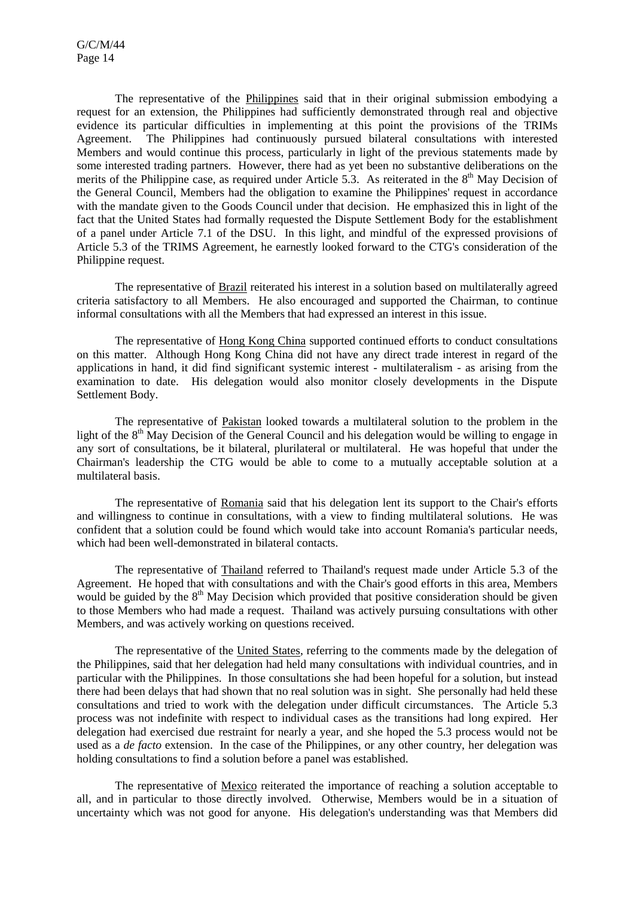The representative of the Philippines said that in their original submission embodying a request for an extension, the Philippines had sufficiently demonstrated through real and objective evidence its particular difficulties in implementing at this point the provisions of the TRIMs Agreement. The Philippines had continuously pursued bilateral consultations with interested Members and would continue this process, particularly in light of the previous statements made by some interested trading partners. However, there had as yet been no substantive deliberations on the merits of the Philippine case, as required under Article 5.3. As reiterated in the  $8<sup>th</sup>$  May Decision of the General Council, Members had the obligation to examine the Philippines' request in accordance with the mandate given to the Goods Council under that decision. He emphasized this in light of the fact that the United States had formally requested the Dispute Settlement Body for the establishment of a panel under Article 7.1 of the DSU. In this light, and mindful of the expressed provisions of Article 5.3 of the TRIMS Agreement, he earnestly looked forward to the CTG's consideration of the Philippine request.

The representative of Brazil reiterated his interest in a solution based on multilaterally agreed criteria satisfactory to all Members. He also encouraged and supported the Chairman, to continue informal consultations with all the Members that had expressed an interest in this issue.

The representative of Hong Kong China supported continued efforts to conduct consultations on this matter. Although Hong Kong China did not have any direct trade interest in regard of the applications in hand, it did find significant systemic interest - multilateralism - as arising from the examination to date. His delegation would also monitor closely developments in the Dispute Settlement Body.

The representative of Pakistan looked towards a multilateral solution to the problem in the light of the  $8<sup>th</sup>$  May Decision of the General Council and his delegation would be willing to engage in any sort of consultations, be it bilateral, plurilateral or multilateral. He was hopeful that under the Chairman's leadership the CTG would be able to come to a mutually acceptable solution at a multilateral basis.

The representative of Romania said that his delegation lent its support to the Chair's efforts and willingness to continue in consultations, with a view to finding multilateral solutions. He was confident that a solution could be found which would take into account Romania's particular needs, which had been well-demonstrated in bilateral contacts.

The representative of Thailand referred to Thailand's request made under Article 5.3 of the Agreement. He hoped that with consultations and with the Chair's good efforts in this area, Members would be guided by the  $8<sup>th</sup>$  May Decision which provided that positive consideration should be given to those Members who had made a request. Thailand was actively pursuing consultations with other Members, and was actively working on questions received.

The representative of the United States, referring to the comments made by the delegation of the Philippines, said that her delegation had held many consultations with individual countries, and in particular with the Philippines. In those consultations she had been hopeful for a solution, but instead there had been delays that had shown that no real solution was in sight. She personally had held these consultations and tried to work with the delegation under difficult circumstances. The Article 5.3 process was not indefinite with respect to individual cases as the transitions had long expired. Her delegation had exercised due restraint for nearly a year, and she hoped the 5.3 process would not be used as a *de facto* extension. In the case of the Philippines, or any other country, her delegation was holding consultations to find a solution before a panel was established.

The representative of Mexico reiterated the importance of reaching a solution acceptable to all, and in particular to those directly involved. Otherwise, Members would be in a situation of uncertainty which was not good for anyone. His delegation's understanding was that Members did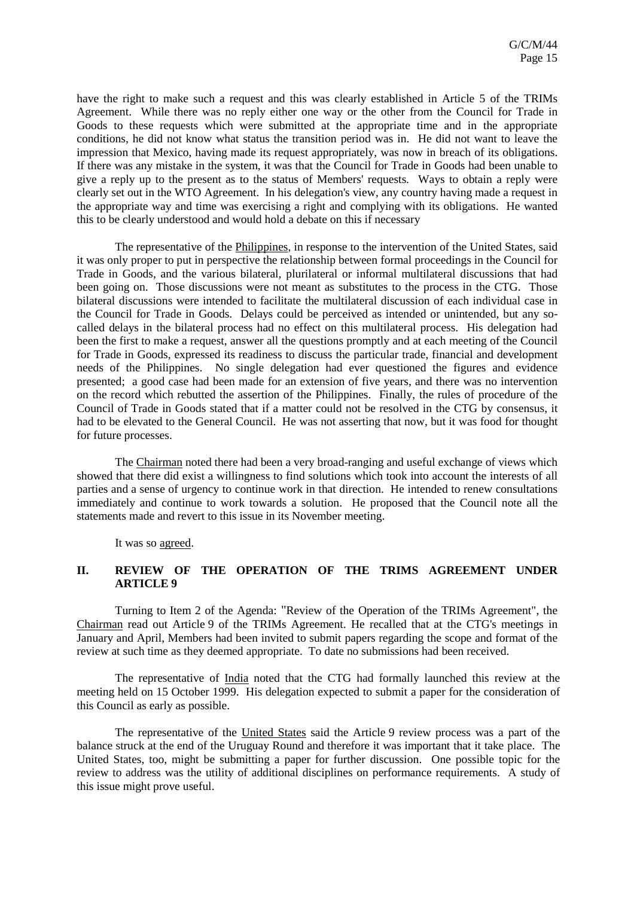have the right to make such a request and this was clearly established in Article 5 of the TRIMs Agreement. While there was no reply either one way or the other from the Council for Trade in Goods to these requests which were submitted at the appropriate time and in the appropriate conditions, he did not know what status the transition period was in. He did not want to leave the impression that Mexico, having made its request appropriately, was now in breach of its obligations. If there was any mistake in the system, it was that the Council for Trade in Goods had been unable to give a reply up to the present as to the status of Members' requests. Ways to obtain a reply were clearly set out in the WTO Agreement. In his delegation's view, any country having made a request in the appropriate way and time was exercising a right and complying with its obligations. He wanted this to be clearly understood and would hold a debate on this if necessary

The representative of the Philippines, in response to the intervention of the United States, said it was only proper to put in perspective the relationship between formal proceedings in the Council for Trade in Goods, and the various bilateral, plurilateral or informal multilateral discussions that had been going on. Those discussions were not meant as substitutes to the process in the CTG. Those bilateral discussions were intended to facilitate the multilateral discussion of each individual case in the Council for Trade in Goods. Delays could be perceived as intended or unintended, but any socalled delays in the bilateral process had no effect on this multilateral process. His delegation had been the first to make a request, answer all the questions promptly and at each meeting of the Council for Trade in Goods, expressed its readiness to discuss the particular trade, financial and development needs of the Philippines. No single delegation had ever questioned the figures and evidence presented; a good case had been made for an extension of five years, and there was no intervention on the record which rebutted the assertion of the Philippines. Finally, the rules of procedure of the Council of Trade in Goods stated that if a matter could not be resolved in the CTG by consensus, it had to be elevated to the General Council. He was not asserting that now, but it was food for thought for future processes.

The Chairman noted there had been a very broad-ranging and useful exchange of views which showed that there did exist a willingness to find solutions which took into account the interests of all parties and a sense of urgency to continue work in that direction. He intended to renew consultations immediately and continue to work towards a solution. He proposed that the Council note all the statements made and revert to this issue in its November meeting.

It was so agreed.

# **II. REVIEW OF THE OPERATION OF THE TRIMS AGREEMENT UNDER ARTICLE 9**

Turning to Item 2 of the Agenda: "Review of the Operation of the TRIMs Agreement", the Chairman read out Article 9 of the TRIMs Agreement. He recalled that at the CTG's meetings in January and April, Members had been invited to submit papers regarding the scope and format of the review at such time as they deemed appropriate. To date no submissions had been received.

The representative of India noted that the CTG had formally launched this review at the meeting held on 15 October 1999. His delegation expected to submit a paper for the consideration of this Council as early as possible.

The representative of the United States said the Article 9 review process was a part of the balance struck at the end of the Uruguay Round and therefore it was important that it take place. The United States, too, might be submitting a paper for further discussion. One possible topic for the review to address was the utility of additional disciplines on performance requirements. A study of this issue might prove useful.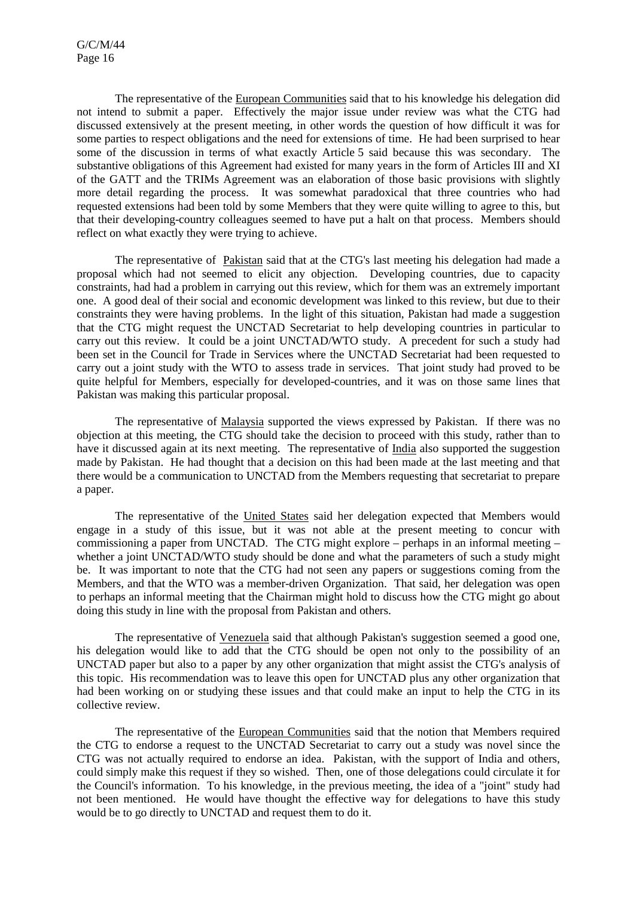The representative of the European Communities said that to his knowledge his delegation did not intend to submit a paper. Effectively the major issue under review was what the CTG had discussed extensively at the present meeting, in other words the question of how difficult it was for some parties to respect obligations and the need for extensions of time. He had been surprised to hear some of the discussion in terms of what exactly Article 5 said because this was secondary. The substantive obligations of this Agreement had existed for many years in the form of Articles III and XI of the GATT and the TRIMs Agreement was an elaboration of those basic provisions with slightly more detail regarding the process. It was somewhat paradoxical that three countries who had requested extensions had been told by some Members that they were quite willing to agree to this, but that their developing-country colleagues seemed to have put a halt on that process. Members should reflect on what exactly they were trying to achieve.

The representative of Pakistan said that at the CTG's last meeting his delegation had made a proposal which had not seemed to elicit any objection. Developing countries, due to capacity constraints, had had a problem in carrying out this review, which for them was an extremely important one. A good deal of their social and economic development was linked to this review, but due to their constraints they were having problems. In the light of this situation, Pakistan had made a suggestion that the CTG might request the UNCTAD Secretariat to help developing countries in particular to carry out this review. It could be a joint UNCTAD/WTO study. A precedent for such a study had been set in the Council for Trade in Services where the UNCTAD Secretariat had been requested to carry out a joint study with the WTO to assess trade in services. That joint study had proved to be quite helpful for Members, especially for developed-countries, and it was on those same lines that Pakistan was making this particular proposal.

The representative of Malaysia supported the views expressed by Pakistan. If there was no objection at this meeting, the CTG should take the decision to proceed with this study, rather than to have it discussed again at its next meeting. The representative of India also supported the suggestion made by Pakistan. He had thought that a decision on this had been made at the last meeting and that there would be a communication to UNCTAD from the Members requesting that secretariat to prepare a paper.

The representative of the United States said her delegation expected that Members would engage in a study of this issue, but it was not able at the present meeting to concur with commissioning a paper from UNCTAD. The CTG might explore – perhaps in an informal meeting – whether a joint UNCTAD/WTO study should be done and what the parameters of such a study might be. It was important to note that the CTG had not seen any papers or suggestions coming from the Members, and that the WTO was a member-driven Organization. That said, her delegation was open to perhaps an informal meeting that the Chairman might hold to discuss how the CTG might go about doing this study in line with the proposal from Pakistan and others.

The representative of Venezuela said that although Pakistan's suggestion seemed a good one, his delegation would like to add that the CTG should be open not only to the possibility of an UNCTAD paper but also to a paper by any other organization that might assist the CTG's analysis of this topic. His recommendation was to leave this open for UNCTAD plus any other organization that had been working on or studying these issues and that could make an input to help the CTG in its collective review.

The representative of the European Communities said that the notion that Members required the CTG to endorse a request to the UNCTAD Secretariat to carry out a study was novel since the CTG was not actually required to endorse an idea. Pakistan, with the support of India and others, could simply make this request if they so wished. Then, one of those delegations could circulate it for the Council's information. To his knowledge, in the previous meeting, the idea of a "joint" study had not been mentioned. He would have thought the effective way for delegations to have this study would be to go directly to UNCTAD and request them to do it.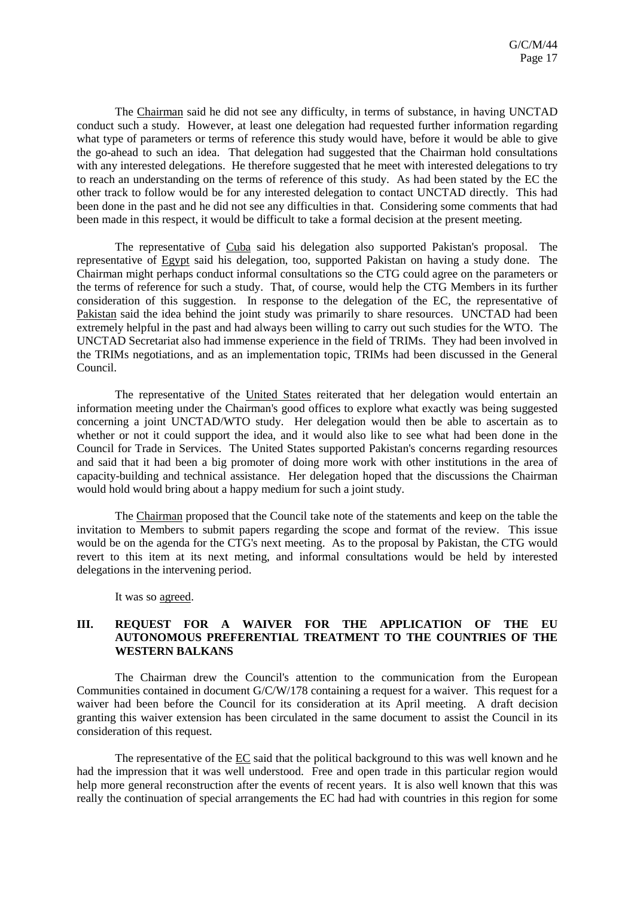The Chairman said he did not see any difficulty, in terms of substance, in having UNCTAD conduct such a study. However, at least one delegation had requested further information regarding what type of parameters or terms of reference this study would have, before it would be able to give the go-ahead to such an idea. That delegation had suggested that the Chairman hold consultations with any interested delegations. He therefore suggested that he meet with interested delegations to try to reach an understanding on the terms of reference of this study. As had been stated by the EC the other track to follow would be for any interested delegation to contact UNCTAD directly. This had been done in the past and he did not see any difficulties in that. Considering some comments that had been made in this respect, it would be difficult to take a formal decision at the present meeting.

The representative of Cuba said his delegation also supported Pakistan's proposal. The representative of Egypt said his delegation, too, supported Pakistan on having a study done. The Chairman might perhaps conduct informal consultations so the CTG could agree on the parameters or the terms of reference for such a study. That, of course, would help the CTG Members in its further consideration of this suggestion. In response to the delegation of the EC, the representative of Pakistan said the idea behind the joint study was primarily to share resources. UNCTAD had been extremely helpful in the past and had always been willing to carry out such studies for the WTO. The UNCTAD Secretariat also had immense experience in the field of TRIMs. They had been involved in the TRIMs negotiations, and as an implementation topic, TRIMs had been discussed in the General Council.

The representative of the United States reiterated that her delegation would entertain an information meeting under the Chairman's good offices to explore what exactly was being suggested concerning a joint UNCTAD/WTO study. Her delegation would then be able to ascertain as to whether or not it could support the idea, and it would also like to see what had been done in the Council for Trade in Services. The United States supported Pakistan's concerns regarding resources and said that it had been a big promoter of doing more work with other institutions in the area of capacity-building and technical assistance. Her delegation hoped that the discussions the Chairman would hold would bring about a happy medium for such a joint study.

The Chairman proposed that the Council take note of the statements and keep on the table the invitation to Members to submit papers regarding the scope and format of the review. This issue would be on the agenda for the CTG's next meeting. As to the proposal by Pakistan, the CTG would revert to this item at its next meting, and informal consultations would be held by interested delegations in the intervening period.

It was so agreed.

#### **III. REQUEST FOR A WAIVER FOR THE APPLICATION OF THE EU AUTONOMOUS PREFERENTIAL TREATMENT TO THE COUNTRIES OF THE WESTERN BALKANS**

The Chairman drew the Council's attention to the communication from the European Communities contained in document G/C/W/178 containing a request for a waiver. This request for a waiver had been before the Council for its consideration at its April meeting. A draft decision granting this waiver extension has been circulated in the same document to assist the Council in its consideration of this request.

The representative of the EC said that the political background to this was well known and he had the impression that it was well understood. Free and open trade in this particular region would help more general reconstruction after the events of recent years. It is also well known that this was really the continuation of special arrangements the EC had had with countries in this region for some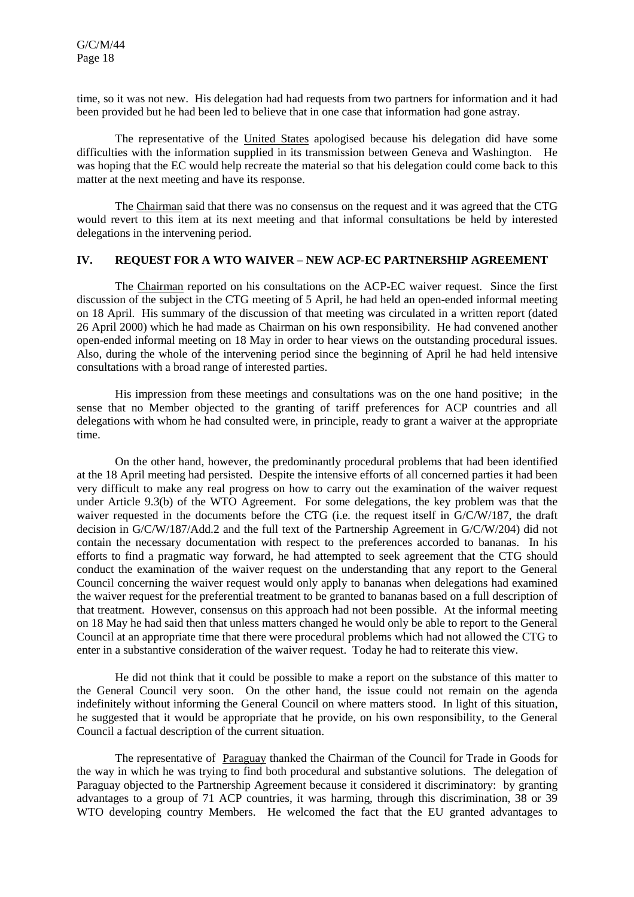time, so it was not new. His delegation had had requests from two partners for information and it had been provided but he had been led to believe that in one case that information had gone astray.

The representative of the United States apologised because his delegation did have some difficulties with the information supplied in its transmission between Geneva and Washington. He was hoping that the EC would help recreate the material so that his delegation could come back to this matter at the next meeting and have its response.

The Chairman said that there was no consensus on the request and it was agreed that the CTG would revert to this item at its next meeting and that informal consultations be held by interested delegations in the intervening period.

# **IV. REQUEST FOR A WTO WAIVER – NEW ACP-EC PARTNERSHIP AGREEMENT**

The Chairman reported on his consultations on the ACP-EC waiver request. Since the first discussion of the subject in the CTG meeting of 5 April, he had held an open-ended informal meeting on 18 April. His summary of the discussion of that meeting was circulated in a written report (dated 26 April 2000) which he had made as Chairman on his own responsibility. He had convened another open-ended informal meeting on 18 May in order to hear views on the outstanding procedural issues. Also, during the whole of the intervening period since the beginning of April he had held intensive consultations with a broad range of interested parties.

His impression from these meetings and consultations was on the one hand positive; in the sense that no Member objected to the granting of tariff preferences for ACP countries and all delegations with whom he had consulted were, in principle, ready to grant a waiver at the appropriate time.

On the other hand, however, the predominantly procedural problems that had been identified at the 18 April meeting had persisted. Despite the intensive efforts of all concerned parties it had been very difficult to make any real progress on how to carry out the examination of the waiver request under Article 9.3(b) of the WTO Agreement. For some delegations, the key problem was that the waiver requested in the documents before the CTG (i.e. the request itself in G/C/W/187, the draft decision in G/C/W/187/Add.2 and the full text of the Partnership Agreement in G/C/W/204) did not contain the necessary documentation with respect to the preferences accorded to bananas. In his efforts to find a pragmatic way forward, he had attempted to seek agreement that the CTG should conduct the examination of the waiver request on the understanding that any report to the General Council concerning the waiver request would only apply to bananas when delegations had examined the waiver request for the preferential treatment to be granted to bananas based on a full description of that treatment. However, consensus on this approach had not been possible. At the informal meeting on 18 May he had said then that unless matters changed he would only be able to report to the General Council at an appropriate time that there were procedural problems which had not allowed the CTG to enter in a substantive consideration of the waiver request. Today he had to reiterate this view.

He did not think that it could be possible to make a report on the substance of this matter to the General Council very soon. On the other hand, the issue could not remain on the agenda indefinitely without informing the General Council on where matters stood. In light of this situation, he suggested that it would be appropriate that he provide, on his own responsibility, to the General Council a factual description of the current situation.

The representative of Paraguay thanked the Chairman of the Council for Trade in Goods for the way in which he was trying to find both procedural and substantive solutions. The delegation of Paraguay objected to the Partnership Agreement because it considered it discriminatory: by granting advantages to a group of 71 ACP countries, it was harming, through this discrimination, 38 or 39 WTO developing country Members. He welcomed the fact that the EU granted advantages to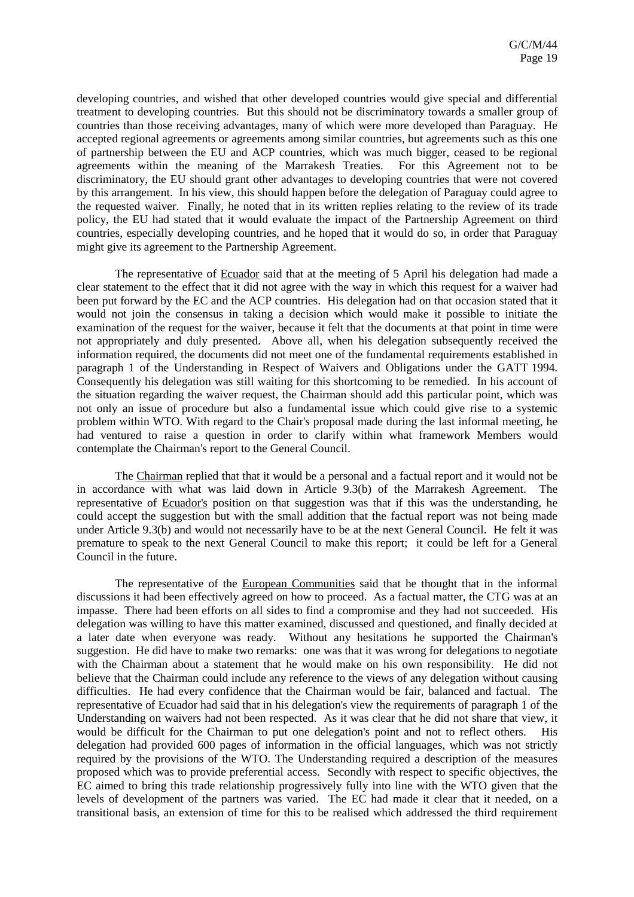developing countries, and wished that other developed countries would give special and differential treatment to developing countries. But this should not be discriminatory towards a smaller group of countries than those receiving advantages, many of which were more developed than Paraguay. He accepted regional agreements or agreements among similar countries, but agreements such as this one of partnership between the EU and ACP countries, which was much bigger, ceased to be regional agreements within the meaning of the Marrakesh Treaties. For this Agreement not to be discriminatory, the EU should grant other advantages to developing countries that were not covered by this arrangement. In his view, this should happen before the delegation of Paraguay could agree to the requested waiver. Finally, he noted that in its written replies relating to the review of its trade policy, the EU had stated that it would evaluate the impact of the Partnership Agreement on third countries, especially developing countries, and he hoped that it would do so, in order that Paraguay might give its agreement to the Partnership Agreement.

The representative of Ecuador said that at the meeting of 5 April his delegation had made a clear statement to the effect that it did not agree with the way in which this request for a waiver had been put forward by the EC and the ACP countries. His delegation had on that occasion stated that it would not join the consensus in taking a decision which would make it possible to initiate the examination of the request for the waiver, because it felt that the documents at that point in time were not appropriately and duly presented. Above all, when his delegation subsequently received the information required, the documents did not meet one of the fundamental requirements established in paragraph 1 of the Understanding in Respect of Waivers and Obligations under the GATT 1994. Consequently his delegation was still waiting for this shortcoming to be remedied. In his account of the situation regarding the waiver request, the Chairman should add this particular point, which was not only an issue of procedure but also a fundamental issue which could give rise to a systemic problem within WTO. With regard to the Chair's proposal made during the last informal meeting, he had ventured to raise a question in order to clarify within what framework Members would contemplate the Chairman's report to the General Council.

The Chairman replied that that it would be a personal and a factual report and it would not be in accordance with what was laid down in Article 9.3(b) of the Marrakesh Agreement. The representative of Ecuador's position on that suggestion was that if this was the understanding, he could accept the suggestion but with the small addition that the factual report was not being made under Article 9.3(b) and would not necessarily have to be at the next General Council. He felt it was premature to speak to the next General Council to make this report; it could be left for a General Council in the future.

The representative of the European Communities said that he thought that in the informal discussions it had been effectively agreed on how to proceed. As a factual matter, the CTG was at an impasse. There had been efforts on all sides to find a compromise and they had not succeeded. His delegation was willing to have this matter examined, discussed and questioned, and finally decided at a later date when everyone was ready. Without any hesitations he supported the Chairman's suggestion. He did have to make two remarks: one was that it was wrong for delegations to negotiate with the Chairman about a statement that he would make on his own responsibility. He did not believe that the Chairman could include any reference to the views of any delegation without causing difficulties. He had every confidence that the Chairman would be fair, balanced and factual. The representative of Ecuador had said that in his delegation's view the requirements of paragraph 1 of the Understanding on waivers had not been respected. As it was clear that he did not share that view, it would be difficult for the Chairman to put one delegation's point and not to reflect others. His delegation had provided 600 pages of information in the official languages, which was not strictly required by the provisions of the WTO. The Understanding required a description of the measures proposed which was to provide preferential access. Secondly with respect to specific objectives, the EC aimed to bring this trade relationship progressively fully into line with the WTO given that the levels of development of the partners was varied. The EC had made it clear that it needed, on a transitional basis, an extension of time for this to be realised which addressed the third requirement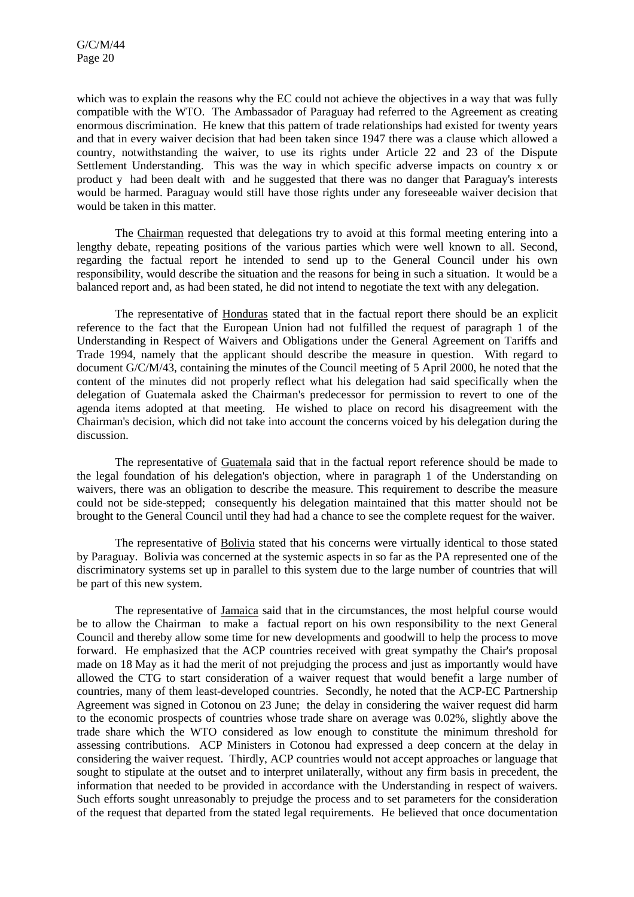which was to explain the reasons why the EC could not achieve the objectives in a way that was fully compatible with the WTO. The Ambassador of Paraguay had referred to the Agreement as creating enormous discrimination. He knew that this pattern of trade relationships had existed for twenty years and that in every waiver decision that had been taken since 1947 there was a clause which allowed a country, notwithstanding the waiver, to use its rights under Article 22 and 23 of the Dispute Settlement Understanding. This was the way in which specific adverse impacts on country x or product y had been dealt with and he suggested that there was no danger that Paraguay's interests would be harmed. Paraguay would still have those rights under any foreseeable waiver decision that would be taken in this matter.

The Chairman requested that delegations try to avoid at this formal meeting entering into a lengthy debate, repeating positions of the various parties which were well known to all. Second, regarding the factual report he intended to send up to the General Council under his own responsibility, would describe the situation and the reasons for being in such a situation. It would be a balanced report and, as had been stated, he did not intend to negotiate the text with any delegation.

The representative of Honduras stated that in the factual report there should be an explicit reference to the fact that the European Union had not fulfilled the request of paragraph 1 of the Understanding in Respect of Waivers and Obligations under the General Agreement on Tariffs and Trade 1994, namely that the applicant should describe the measure in question. With regard to document G/C/M/43, containing the minutes of the Council meeting of 5 April 2000, he noted that the content of the minutes did not properly reflect what his delegation had said specifically when the delegation of Guatemala asked the Chairman's predecessor for permission to revert to one of the agenda items adopted at that meeting. He wished to place on record his disagreement with the Chairman's decision, which did not take into account the concerns voiced by his delegation during the discussion.

The representative of Guatemala said that in the factual report reference should be made to the legal foundation of his delegation's objection, where in paragraph 1 of the Understanding on waivers, there was an obligation to describe the measure. This requirement to describe the measure could not be side-stepped; consequently his delegation maintained that this matter should not be brought to the General Council until they had had a chance to see the complete request for the waiver.

The representative of Bolivia stated that his concerns were virtually identical to those stated by Paraguay. Bolivia was concerned at the systemic aspects in so far as the PA represented one of the discriminatory systems set up in parallel to this system due to the large number of countries that will be part of this new system.

The representative of Jamaica said that in the circumstances, the most helpful course would be to allow the Chairman to make a factual report on his own responsibility to the next General Council and thereby allow some time for new developments and goodwill to help the process to move forward. He emphasized that the ACP countries received with great sympathy the Chair's proposal made on 18 May as it had the merit of not prejudging the process and just as importantly would have allowed the CTG to start consideration of a waiver request that would benefit a large number of countries, many of them least-developed countries. Secondly, he noted that the ACP-EC Partnership Agreement was signed in Cotonou on 23 June; the delay in considering the waiver request did harm to the economic prospects of countries whose trade share on average was 0.02%, slightly above the trade share which the WTO considered as low enough to constitute the minimum threshold for assessing contributions. ACP Ministers in Cotonou had expressed a deep concern at the delay in considering the waiver request. Thirdly, ACP countries would not accept approaches or language that sought to stipulate at the outset and to interpret unilaterally, without any firm basis in precedent, the information that needed to be provided in accordance with the Understanding in respect of waivers. Such efforts sought unreasonably to prejudge the process and to set parameters for the consideration of the request that departed from the stated legal requirements. He believed that once documentation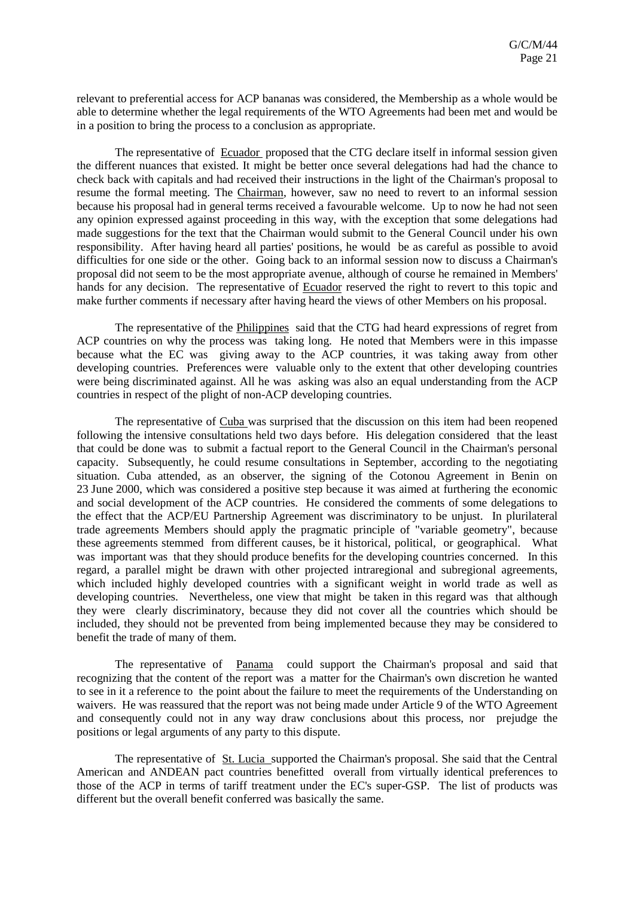relevant to preferential access for ACP bananas was considered, the Membership as a whole would be able to determine whether the legal requirements of the WTO Agreements had been met and would be in a position to bring the process to a conclusion as appropriate.

The representative of Ecuador proposed that the CTG declare itself in informal session given the different nuances that existed. It might be better once several delegations had had the chance to check back with capitals and had received their instructions in the light of the Chairman's proposal to resume the formal meeting. The Chairman, however, saw no need to revert to an informal session because his proposal had in general terms received a favourable welcome. Up to now he had not seen any opinion expressed against proceeding in this way, with the exception that some delegations had made suggestions for the text that the Chairman would submit to the General Council under his own responsibility. After having heard all parties' positions, he would be as careful as possible to avoid difficulties for one side or the other. Going back to an informal session now to discuss a Chairman's proposal did not seem to be the most appropriate avenue, although of course he remained in Members' hands for any decision. The representative of Ecuador reserved the right to revert to this topic and make further comments if necessary after having heard the views of other Members on his proposal.

The representative of the Philippines said that the CTG had heard expressions of regret from ACP countries on why the process was taking long. He noted that Members were in this impasse because what the EC was giving away to the ACP countries, it was taking away from other developing countries. Preferences were valuable only to the extent that other developing countries were being discriminated against. All he was asking was also an equal understanding from the ACP countries in respect of the plight of non-ACP developing countries.

The representative of Cuba was surprised that the discussion on this item had been reopened following the intensive consultations held two days before. His delegation considered that the least that could be done was to submit a factual report to the General Council in the Chairman's personal capacity. Subsequently, he could resume consultations in September, according to the negotiating situation. Cuba attended, as an observer, the signing of the Cotonou Agreement in Benin on 23 June 2000, which was considered a positive step because it was aimed at furthering the economic and social development of the ACP countries. He considered the comments of some delegations to the effect that the ACP/EU Partnership Agreement was discriminatory to be unjust. In plurilateral trade agreements Members should apply the pragmatic principle of "variable geometry", because these agreements stemmed from different causes, be it historical, political, or geographical. What was important was that they should produce benefits for the developing countries concerned. In this regard, a parallel might be drawn with other projected intraregional and subregional agreements, which included highly developed countries with a significant weight in world trade as well as developing countries. Nevertheless, one view that might be taken in this regard was that although they were clearly discriminatory, because they did not cover all the countries which should be included, they should not be prevented from being implemented because they may be considered to benefit the trade of many of them.

The representative of Panama could support the Chairman's proposal and said that recognizing that the content of the report was a matter for the Chairman's own discretion he wanted to see in it a reference to the point about the failure to meet the requirements of the Understanding on waivers. He was reassured that the report was not being made under Article 9 of the WTO Agreement and consequently could not in any way draw conclusions about this process, nor prejudge the positions or legal arguments of any party to this dispute.

The representative of St. Lucia supported the Chairman's proposal. She said that the Central American and ANDEAN pact countries benefitted overall from virtually identical preferences to those of the ACP in terms of tariff treatment under the EC's super-GSP. The list of products was different but the overall benefit conferred was basically the same.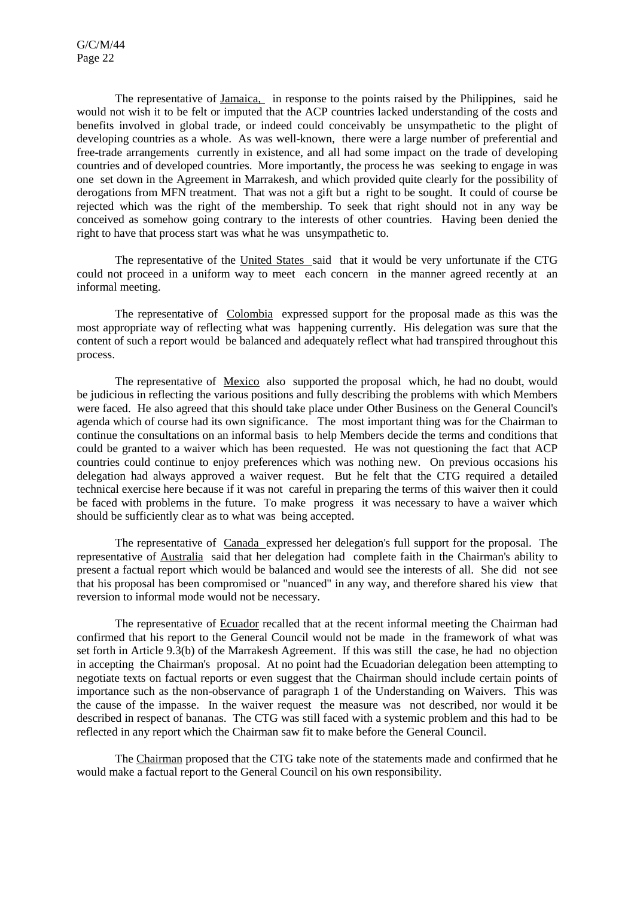The representative of Jamaica, in response to the points raised by the Philippines, said he would not wish it to be felt or imputed that the ACP countries lacked understanding of the costs and benefits involved in global trade, or indeed could conceivably be unsympathetic to the plight of developing countries as a whole. As was well-known, there were a large number of preferential and free-trade arrangements currently in existence, and all had some impact on the trade of developing countries and of developed countries. More importantly, the process he was seeking to engage in was one set down in the Agreement in Marrakesh, and which provided quite clearly for the possibility of derogations from MFN treatment. That was not a gift but a right to be sought. It could of course be rejected which was the right of the membership. To seek that right should not in any way be conceived as somehow going contrary to the interests of other countries. Having been denied the right to have that process start was what he was unsympathetic to.

The representative of the United States said that it would be very unfortunate if the CTG could not proceed in a uniform way to meet each concern in the manner agreed recently at an informal meeting.

The representative of Colombia expressed support for the proposal made as this was the most appropriate way of reflecting what was happening currently. His delegation was sure that the content of such a report would be balanced and adequately reflect what had transpired throughout this process.

The representative of Mexico also supported the proposal which, he had no doubt, would be judicious in reflecting the various positions and fully describing the problems with which Members were faced. He also agreed that this should take place under Other Business on the General Council's agenda which of course had its own significance. The most important thing was for the Chairman to continue the consultations on an informal basis to help Members decide the terms and conditions that could be granted to a waiver which has been requested. He was not questioning the fact that ACP countries could continue to enjoy preferences which was nothing new. On previous occasions his delegation had always approved a waiver request. But he felt that the CTG required a detailed technical exercise here because if it was not careful in preparing the terms of this waiver then it could be faced with problems in the future. To make progress it was necessary to have a waiver which should be sufficiently clear as to what was being accepted.

The representative of Canada expressed her delegation's full support for the proposal. The representative of Australia said that her delegation had complete faith in the Chairman's ability to present a factual report which would be balanced and would see the interests of all. She did not see that his proposal has been compromised or "nuanced" in any way, and therefore shared his view that reversion to informal mode would not be necessary.

The representative of Ecuador recalled that at the recent informal meeting the Chairman had confirmed that his report to the General Council would not be made in the framework of what was set forth in Article 9.3(b) of the Marrakesh Agreement. If this was still the case, he had no objection in accepting the Chairman's proposal. At no point had the Ecuadorian delegation been attempting to negotiate texts on factual reports or even suggest that the Chairman should include certain points of importance such as the non-observance of paragraph 1 of the Understanding on Waivers. This was the cause of the impasse. In the waiver request the measure was not described, nor would it be described in respect of bananas. The CTG was still faced with a systemic problem and this had to be reflected in any report which the Chairman saw fit to make before the General Council.

The Chairman proposed that the CTG take note of the statements made and confirmed that he would make a factual report to the General Council on his own responsibility.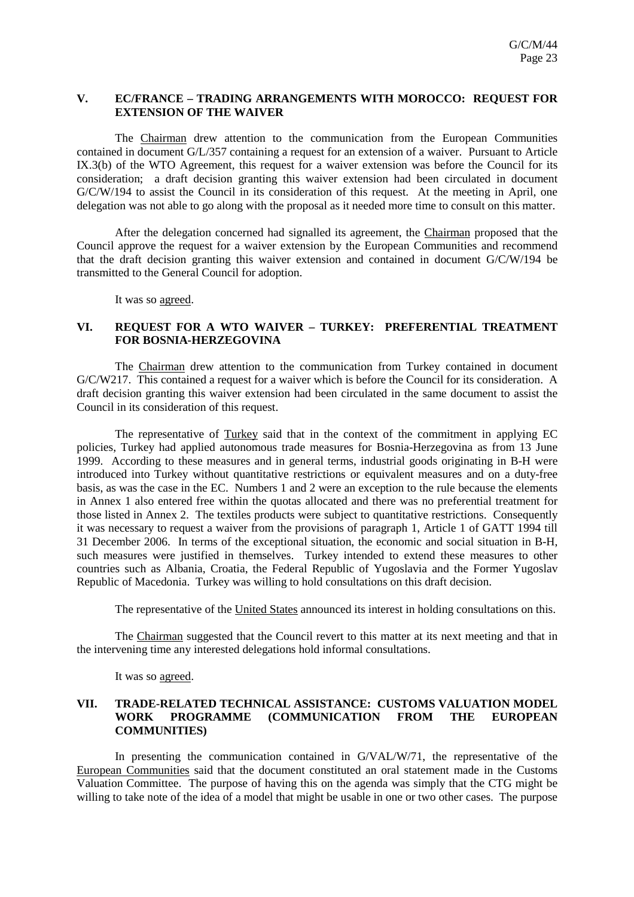#### **V. EC/FRANCE – TRADING ARRANGEMENTS WITH MOROCCO: REQUEST FOR EXTENSION OF THE WAIVER**

The Chairman drew attention to the communication from the European Communities contained in document G/L/357 containing a request for an extension of a waiver. Pursuant to Article IX.3(b) of the WTO Agreement, this request for a waiver extension was before the Council for its consideration; a draft decision granting this waiver extension had been circulated in document G/C/W/194 to assist the Council in its consideration of this request. At the meeting in April, one delegation was not able to go along with the proposal as it needed more time to consult on this matter.

After the delegation concerned had signalled its agreement, the Chairman proposed that the Council approve the request for a waiver extension by the European Communities and recommend that the draft decision granting this waiver extension and contained in document G/C/W/194 be transmitted to the General Council for adoption.

It was so agreed.

# **VI. REQUEST FOR A WTO WAIVER – TURKEY: PREFERENTIAL TREATMENT FOR BOSNIA-HERZEGOVINA**

The Chairman drew attention to the communication from Turkey contained in document G/C/W217. This contained a request for a waiver which is before the Council for its consideration. A draft decision granting this waiver extension had been circulated in the same document to assist the Council in its consideration of this request.

The representative of Turkey said that in the context of the commitment in applying EC policies, Turkey had applied autonomous trade measures for Bosnia-Herzegovina as from 13 June 1999. According to these measures and in general terms, industrial goods originating in B-H were introduced into Turkey without quantitative restrictions or equivalent measures and on a duty-free basis, as was the case in the EC. Numbers 1 and 2 were an exception to the rule because the elements in Annex 1 also entered free within the quotas allocated and there was no preferential treatment for those listed in Annex 2. The textiles products were subject to quantitative restrictions. Consequently it was necessary to request a waiver from the provisions of paragraph 1, Article 1 of GATT 1994 till 31 December 2006. In terms of the exceptional situation, the economic and social situation in B-H, such measures were justified in themselves. Turkey intended to extend these measures to other countries such as Albania, Croatia, the Federal Republic of Yugoslavia and the Former Yugoslav Republic of Macedonia. Turkey was willing to hold consultations on this draft decision.

The representative of the United States announced its interest in holding consultations on this.

The Chairman suggested that the Council revert to this matter at its next meeting and that in the intervening time any interested delegations hold informal consultations.

It was so agreed.

## **VII. TRADE-RELATED TECHNICAL ASSISTANCE: CUSTOMS VALUATION MODEL WORK PROGRAMME (COMMUNICATION FROM THE EUROPEAN COMMUNITIES)**

In presenting the communication contained in G/VAL/W/71, the representative of the European Communities said that the document constituted an oral statement made in the Customs Valuation Committee. The purpose of having this on the agenda was simply that the CTG might be willing to take note of the idea of a model that might be usable in one or two other cases. The purpose